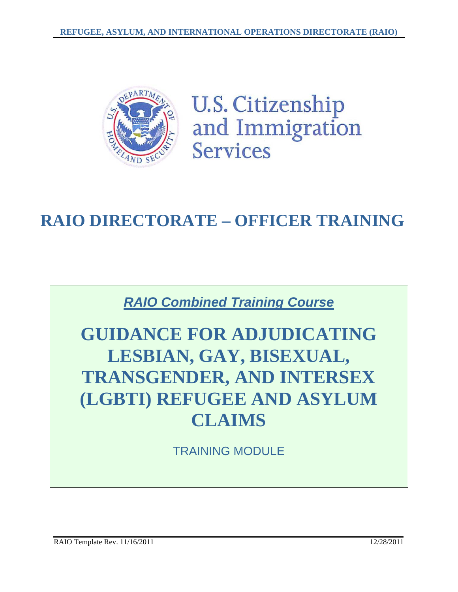<span id="page-0-0"></span>

**U.S. Citizenship** and Immigration **Services** 

## **RAIO DIRECTORATE – OFFICER TRAINING**

*RAIO Combined Training Course*

# **GUIDANCE FOR ADJUDICATING LESBIAN, GAY, BISEXUAL, TRANSGENDER, AND INTERSEX (LGBTI) REFUGEE AND ASYLUM CLAIMS**

TRAINING MODULE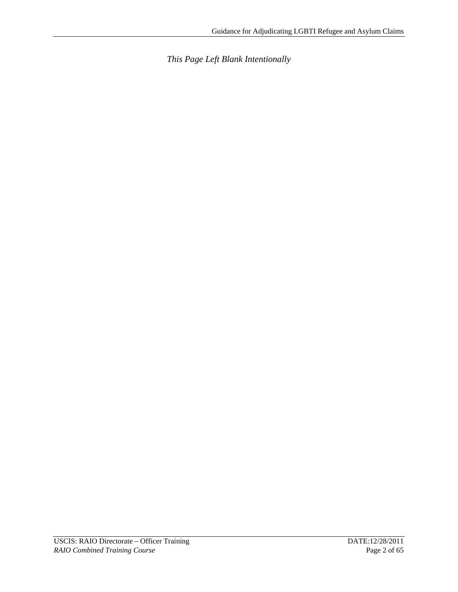*This Page Left Blank Intentionally*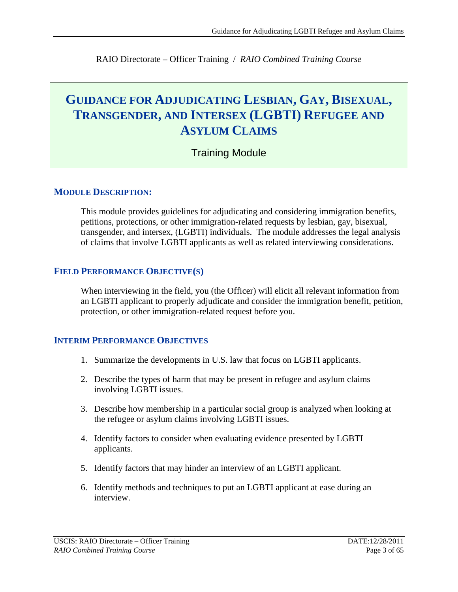RAIO Directorate – Officer Training / *RAIO Combined Training Course* 

## **GUIDANCE FOR ADJUDICATING LESBIAN, GAY, BISEXUAL, TRANSGENDER, AND INTERSEX (LGBTI) REFUGEE AND ASYLUM CLAIMS**

## Training Module

## **MODULE DESCRIPTION:**

This module provides guidelines for adjudicating and considering immigration benefits, petitions, protections, or other immigration-related requests by lesbian, gay, bisexual, transgender, and intersex, (LGBTI) individuals. The module addresses the legal analysis of claims that involve LGBTI applicants as well as related interviewing considerations.

#### **FIELD PERFORMANCE OBJECTIVE(S)**

When interviewing in the field, you (the Officer) will elicit all relevant information from an LGBTI applicant to properly adjudicate and consider the immigration benefit, petition, protection, or other immigration-related request before you.

## **INTERIM PERFORMANCE OBJECTIVES**

- 1. Summarize the developments in U.S. law that focus on LGBTI applicants.
- 2. Describe the types of harm that may be present in refugee and asylum claims involving LGBTI issues.
- 3. Describe how membership in a particular social group is analyzed when looking at the refugee or asylum claims involving LGBTI issues.
- 4. Identify factors to consider when evaluating evidence presented by LGBTI applicants.
- 5. Identify factors that may hinder an interview of an LGBTI applicant.
- 6. Identify methods and techniques to put an LGBTI applicant at ease during an interview.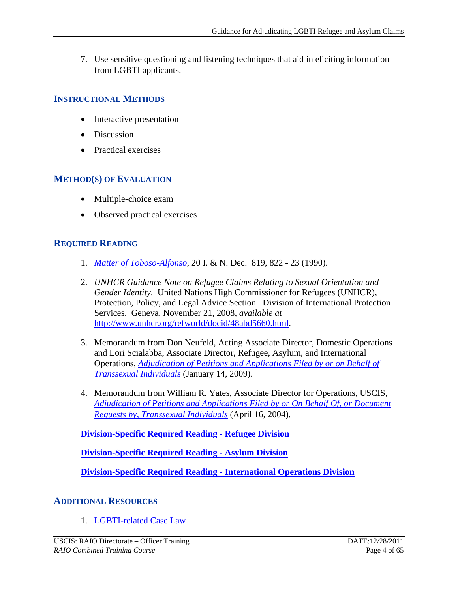7. Use sensitive questioning and listening techniques that aid in eliciting information from LGBTI applicants.

#### **INSTRUCTIONAL METHODS**

- Interactive presentation
- Discussion
- Practical exercises

## **METHOD(S) OF EVALUATION**

- Multiple-choice exam
- Observed practical exercises

## <span id="page-3-2"></span>**REQUIRED READING**

- 1. *[Matter of Toboso-Alfonso](http://web2.westlaw.com/find/default.wl?cite=20+I.+%26+N.+Dec.++819&rs=WLW12.01&vr=2.0&rp=%2ffind%2fdefault.wl&sv=Split&fn=_top&mt=Westlaw)*, 20 I. & N. Dec. 819, 822 23 (1990).
- 2. *UNHCR Guidance Note on Refugee Claims Relating to Sexual Orientation and Gender Identity*. United Nations High Commissioner for Refugees (UNHCR), Protection, Policy, and Legal Advice Section. Division of International Protection Services. Geneva, November 21, 2008, *available at*  <http://www.unhcr.org/refworld/docid/48abd5660.html>.
- 3. Memorandum from Don Neufeld, Acting Associate Director, Domestic Operations and Lori Scialabba, Associate Director, Refugee, Asylum, and International Operations, *[Adjudication of Petitions and Applications Filed by or on Behalf of](http://ecn.uscis.dhs.gov/team/raio/PerMgt/Training/RAIOTraining/RDOT%20Curriculum%20Library/Neufeld,%20Don%20and%20Lori%20Scialabba%20Memo%20-%20Petitions%20and%20Applications%20Filed%20by%20Transsexual%20Individuals.pdf)  [Transsexual Individuals](http://ecn.uscis.dhs.gov/team/raio/PerMgt/Training/RAIOTraining/RDOT%20Curriculum%20Library/Neufeld,%20Don%20and%20Lori%20Scialabba%20Memo%20-%20Petitions%20and%20Applications%20Filed%20by%20Transsexual%20Individuals.pdf)* (January 14, 2009).
- 4. Memorandum from William R. Yates, Associate Director for Operations, USCIS, *[Adjudication of Petitions and Applications Filed by or On Behalf Of, or Document](http://ecn.uscis.dhs.gov/team/raio/PerMgt/Training/RAIOTraining/RDOT%20Curriculum%20Library/Yates,%20William%20Memo%20-%20Petitions%20and%20Applications%20Filed%20by%20or%20On%20Behalf%20Of,%20or%20Document%20Requests%20by,%20Transsexual%20Individuals.pdf)  [Requests by, Transsexual Individuals](http://ecn.uscis.dhs.gov/team/raio/PerMgt/Training/RAIOTraining/RDOT%20Curriculum%20Library/Yates,%20William%20Memo%20-%20Petitions%20and%20Applications%20Filed%20by%20or%20On%20Behalf%20Of,%20or%20Document%20Requests%20by,%20Transsexual%20Individuals.pdf)* (April 16, 2004).

**[Division-Specific Required Reading - Refugee Division](#page-0-0)**

**[Division-Specific Required Reading - Asylum Division](#page-3-0)**

**[Division-Specific Required Reading - International Operations Division](#page-0-0)**

## <span id="page-3-1"></span><span id="page-3-0"></span>**ADDITIONAL RESOURCES**

1. [LGBTI-related Case Law](#page-56-0)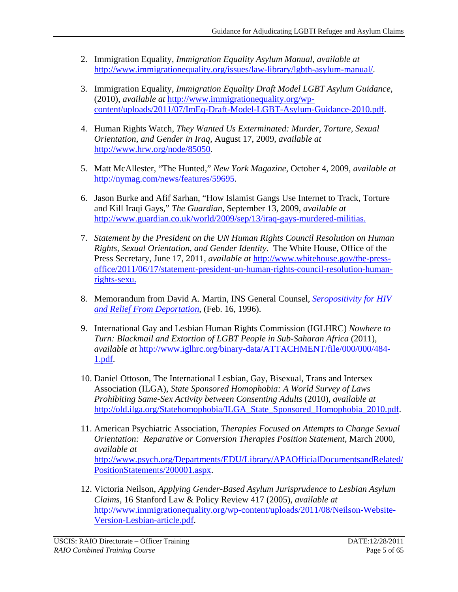- 2. Immigration Equality, *Immigration Equality Asylum Manual*, *available at* [http://www.immigrationequality.org/issues/law-library/lgbth-asylum-manual/.](http://www.immigrationequality.org/issues/law-library/lgbth-asylum-manual/)
- 3. Immigration Equality, *Immigration Equality Draft Model LGBT Asylum Guidance*, (2010), *available at* [http://www.immigrationequality.org/wp](http://www.immigrationequality.org/wp-content/uploads/2011/07/ImEq-Draft-Model-LGBT-Asylum-Guidance-2010.pdf)[content/uploads/2011/07/ImEq-Draft-Model-LGBT-Asylum-Guidance-2010.pdf.](http://www.immigrationequality.org/wp-content/uploads/2011/07/ImEq-Draft-Model-LGBT-Asylum-Guidance-2010.pdf)
- 4. Human Rights Watch, *They Wanted Us Exterminated: Murder, Torture, Sexual Orientation, and Gender in Iraq*, August 17, 2009, *available at* <http://www.hrw.org/node/85050>.
- 5. Matt McAllester, "The Hunted," *New York Magazine*, October 4, 2009, *available at* [http://nymag.com/news/features/59695.](http://nymag.com/news/features/59695)
- 6. Jason Burke and Afif Sarhan, "How Islamist Gangs Use Internet to Track, Torture and Kill Iraqi Gays," *The Guardian*, September 13, 2009, *available at* [http://www.guardian.co.uk/world/2009/sep/13/iraq-gays-murdered-militias.](http://www.guardian.co.uk/world/2009/sep/13/iraq-gays-murdered-militias)
- 7. *Statement by the President on the UN Human Rights Council Resolution on Human Rights, Sexual Orientation, and Gender Identity*. The White House, Office of the Press Secretary, June 17, 2011, *available at* [http://www.whitehouse.gov/the-press](http://www.whitehouse.gov/the-press-office/2011/06/17/statement-president-un-human-rights-council-resolution-human-rights-sexu)[office/2011/06/17/statement-president-un-human-rights-council-resolution-human](http://www.whitehouse.gov/the-press-office/2011/06/17/statement-president-un-human-rights-council-resolution-human-rights-sexu)[rights-sexu.](http://www.whitehouse.gov/the-press-office/2011/06/17/statement-president-un-human-rights-council-resolution-human-rights-sexu)
- 8. Memorandum from David A. Martin, INS General Counsel, *[Seropositivity for HIV](http://web2.westlaw.com/find/default.wl?mt=296&db=129431&tc=-1&rp=%2ffind%2fdefault.wl&findtype=Y&ordoc=0116475519&serialnum=0116477243&vr=2.0&fn=_top&sv=Split&tf=-1&referencepositiontype=S&pbc=B85BE977&referenceposition=909&rs=WLW12.01&RLT=CLID_FQRLT17761)  [and Relief From Deportation](http://web2.westlaw.com/find/default.wl?mt=296&db=129431&tc=-1&rp=%2ffind%2fdefault.wl&findtype=Y&ordoc=0116475519&serialnum=0116477243&vr=2.0&fn=_top&sv=Split&tf=-1&referencepositiontype=S&pbc=B85BE977&referenceposition=909&rs=WLW12.01&RLT=CLID_FQRLT17761)*, (Feb. 16, 1996).
- 9. International Gay and Lesbian Human Rights Commission (IGLHRC) *Nowhere to Turn: Blackmail and Extortion of LGBT People in Sub-Saharan Africa* (2011), *available at* [http://www.iglhrc.org/binary-data/ATTACHMENT/file/000/000/484-](http://www.iglhrc.org/binary-data/ATTACHMENT/file/000/000/484-1.pdf) [1.pdf.](http://www.iglhrc.org/binary-data/ATTACHMENT/file/000/000/484-1.pdf)
- 10. Daniel Ottoson, The International Lesbian, Gay, Bisexual, Trans and Intersex Association (ILGA), *State Sponsored Homophobia: A World Survey of Laws Prohibiting Same-Sex Activity between Consenting Adults* (2010), *available at* [http://old.ilga.org/Statehomophobia/ILGA\\_State\\_Sponsored\\_Homophobia\\_2010.pdf.](http://old.ilga.org/Statehomophobia/ILGA_State_Sponsored_Homophobia_2010.pdf)
- 11. American Psychiatric Association, *Therapies Focused on Attempts to Change Sexual Orientation: Reparative or Conversion Therapies Position Statement*, March 2000, *available at* [http://www.psych.org/Departments/EDU/Library/APAOfficialDocumentsandRelated/](http://www.psych.org/Departments/EDU/Library/APAOfficialDocumentsandRelated/PositionStatements/200001.aspx) [PositionStatements/200001.aspx](http://www.psych.org/Departments/EDU/Library/APAOfficialDocumentsandRelated/PositionStatements/200001.aspx).
- 12. Victoria Neilson, *Applying Gender-Based Asylum Jurisprudence to Lesbian Asylum Claims*, 16 Stanford Law & Policy Review 417 (2005), *available at* [http://www.immigrationequality.org/wp-content/uploads/2011/08/Neilson-Website-](http://www.immigrationequality.org/wp-content/uploads/2011/08/Neilson-Website-Version-Lesbian-article.pdf)[Version-Lesbian-article.pdf.](http://www.immigrationequality.org/wp-content/uploads/2011/08/Neilson-Website-Version-Lesbian-article.pdf)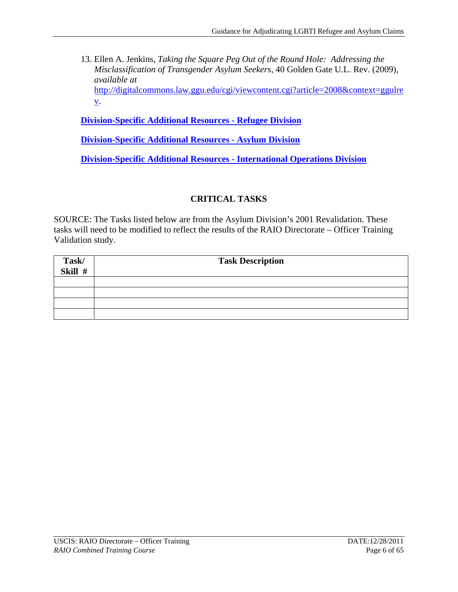13. Ellen A. Jenkins, *Taking the Square Peg Out of the Round Hole: Addressing the Misclassification of Transgender Asylum Seekers*, 40 Golden Gate U.L. Rev. (2009), *available at* [http://digitalcommons.law.ggu.edu/cgi/viewcontent.cgi?article=2008&context=ggulre](http://digitalcommons.law.ggu.edu/cgi/viewcontent.cgi?article=2008&context=ggulrev) [v](http://digitalcommons.law.ggu.edu/cgi/viewcontent.cgi?article=2008&context=ggulrev). <u>V. Andreas van die verschilden van die verschilden van die verschilden van die verschilden van die verschilden van die verschilden van die verschilden van die verschilden van die verschilden van die verschilden van die</u>

<span id="page-5-0"></span>**[Division-Specific Additional Resources - Refugee Division](#page-5-0)**

<span id="page-5-1"></span>**[Division-Specific Additional Resources - Asylum Division](#page-5-1)**

**[Division-Specific Additional Resources - International Operations Division](#page-0-0)**

#### **CRITICAL TASKS**

SOURCE: The Tasks listed below are from the Asylum Division's 2001 Revalidation. These tasks will need to be modified to reflect the results of the RAIO Directorate – Officer Training Validation study.

| Task/<br>Skill # | <b>Task Description</b> |
|------------------|-------------------------|
|                  |                         |
|                  |                         |
|                  |                         |
|                  |                         |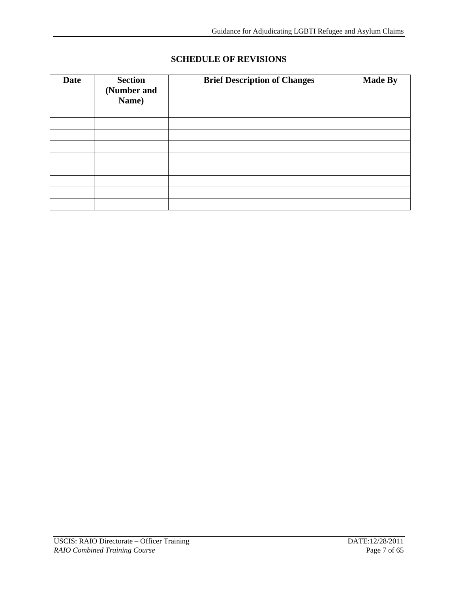| <b>Date</b> | <b>Section</b><br>(Number and<br>Name) | <b>Brief Description of Changes</b> | <b>Made By</b> |
|-------------|----------------------------------------|-------------------------------------|----------------|
|             |                                        |                                     |                |
|             |                                        |                                     |                |
|             |                                        |                                     |                |
|             |                                        |                                     |                |
|             |                                        |                                     |                |
|             |                                        |                                     |                |
|             |                                        |                                     |                |
|             |                                        |                                     |                |
|             |                                        |                                     |                |

## **SCHEDULE OF REVISIONS**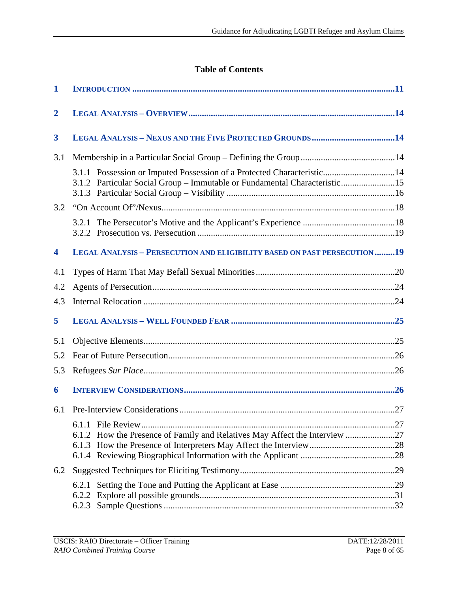## **Table of Contents**

| 1                       |                                                                                                                                                     |
|-------------------------|-----------------------------------------------------------------------------------------------------------------------------------------------------|
| $\overline{2}$          |                                                                                                                                                     |
| $\boldsymbol{3}$        |                                                                                                                                                     |
| 3.1                     |                                                                                                                                                     |
|                         | 3.1.1 Possession or Imputed Possession of a Protected Characteristic14<br>3.1.2 Particular Social Group – Immutable or Fundamental Characteristic15 |
| 3.2                     |                                                                                                                                                     |
|                         | 3.2.1                                                                                                                                               |
| $\overline{\mathbf{4}}$ | LEGAL ANALYSIS - PERSECUTION AND ELIGIBILITY BASED ON PAST PERSECUTION19                                                                            |
| 4.1                     |                                                                                                                                                     |
| 4.2                     |                                                                                                                                                     |
| 4.3                     |                                                                                                                                                     |
| 5                       |                                                                                                                                                     |
| 5.1                     |                                                                                                                                                     |
| 5.2                     |                                                                                                                                                     |
| 5.3                     |                                                                                                                                                     |
| 6                       |                                                                                                                                                     |
| 6.1                     |                                                                                                                                                     |
|                         | 6.1.2<br>6.1.3                                                                                                                                      |
| 6.2                     |                                                                                                                                                     |
|                         | 6.2.1<br>6.2.2<br>6.2.3                                                                                                                             |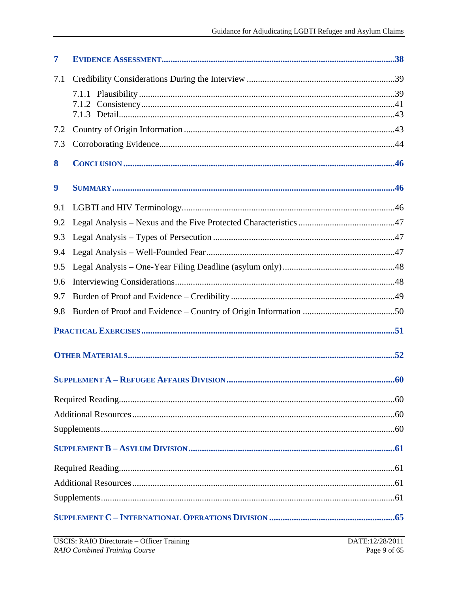| 7   |  |
|-----|--|
| 7.1 |  |
|     |  |
|     |  |
|     |  |
| 7.2 |  |
| 7.3 |  |
| 8   |  |
| 9   |  |
| 9.1 |  |
| 9.2 |  |
| 9.3 |  |
| 9.4 |  |
| 9.5 |  |
| 9.6 |  |
| 9.7 |  |
| 9.8 |  |
|     |  |
|     |  |
|     |  |
|     |  |
|     |  |
|     |  |
|     |  |
|     |  |
|     |  |
|     |  |
|     |  |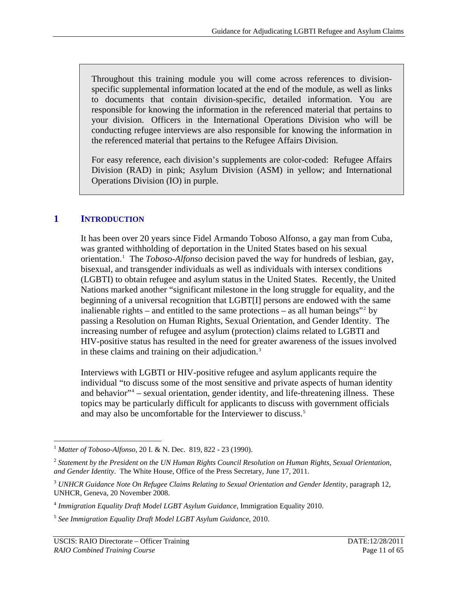Throughout this training module you will come across references to divisionspecific supplemental information located at the end of the module, as well as links to documents that contain division-specific, detailed information. You are responsible for knowing the information in the referenced material that pertains to your division. Officers in the International Operations Division who will be conducting refugee interviews are also responsible for knowing the information in the referenced material that pertains to the Refugee Affairs Division.

For easy reference, each division's supplements are color-coded: Refugee Affairs Division (RAD) in pink; Asylum Division (ASM) in yellow; and International Operations Division (IO) in purple.

## <span id="page-10-0"></span>**1 INTRODUCTION**

It has been over 20 years since Fidel Armando Toboso Alfonso, a gay man from Cuba, was granted withholding of deportation in the United States based on his sexual orientation.[1](#page-10-1) The *Toboso-Alfonso* decision paved the way for hundreds of lesbian, gay, bisexual, and transgender individuals as well as individuals with intersex conditions (LGBTI) to obtain refugee and asylum status in the United States. Recently, the United Nations marked another "significant milestone in the long struggle for equality, and the beginning of a universal recognition that LGBT[I] persons are endowed with the same inalienable rights – and entitled to the same protections – as all human beings"<sup>[2](#page-10-2)</sup> by passing a Resolution on Human Rights, Sexual Orientation, and Gender Identity. The increasing number of refugee and asylum (protection) claims related to LGBTI and HIV-positive status has resulted in the need for greater awareness of the issues involved in these claims and training on their adjudication.<sup>[3](#page-10-3)</sup>

Interviews with LGBTI or HIV-positive refugee and asylum applicants require the individual "to discuss some of the most sensitive and private aspects of human identity and behavior"[4](#page-10-4) – sexual orientation, gender identity, and life-threatening illness. These topics may be particularly difficult for applicants to discuss with government officials and may also be uncomfortable for the Interviewer to discuss.<sup>[5](#page-10-5)</sup>

<span id="page-10-1"></span> $\overline{a}$ <sup>1</sup> *Matter of Toboso-Alfonso*, 20 I. & N. Dec. 819, 822 - 23 (1990).

<span id="page-10-2"></span><sup>2</sup> *Statement by the President on the UN Human Rights Council Resolution on Human Rights, Sexual Orientation, and Gender Identity*. The White House, Office of the Press Secretary, June 17, 2011.

<span id="page-10-3"></span><sup>3</sup> *UNHCR Guidance Note On Refugee Claims Relating to Sexual Orientation and Gender Identity*, paragraph 12, UNHCR, Geneva, 20 November 2008.

<span id="page-10-4"></span><sup>4</sup>  *Immigration Equality Draft Model LGBT Asylum Guidance*, Immigration Equality 2010.

<span id="page-10-5"></span><sup>5</sup> *See Immigration Equality Draft Model LGBT Asylum Guidance*, 2010.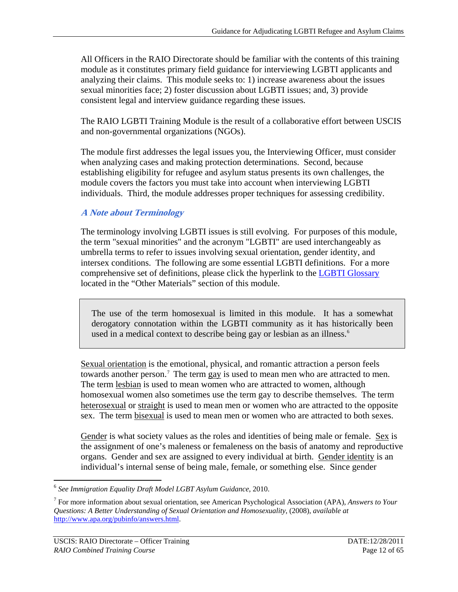All Officers in the RAIO Directorate should be familiar with the contents of this training module as it constitutes primary field guidance for interviewing LGBTI applicants and analyzing their claims. This module seeks to: 1) increase awareness about the issues sexual minorities face; 2) foster discussion about LGBTI issues; and, 3) provide consistent legal and interview guidance regarding these issues.

The RAIO LGBTI Training Module is the result of a collaborative effort between USCIS and non-governmental organizations (NGOs).

The module first addresses the legal issues you, the Interviewing Officer, must consider when analyzing cases and making protection determinations. Second, because establishing eligibility for refugee and asylum status presents its own challenges, the module covers the factors you must take into account when interviewing LGBTI individuals. Third, the module addresses proper techniques for assessing credibility.

## <span id="page-11-2"></span>**A Note about Terminology**

The terminology involving LGBTI issues is still evolving. For purposes of this module, the term "sexual minorities" and the acronym "LGBTI" are used interchangeably as umbrella terms to refer to issues involving sexual orientation, gender identity, and intersex conditions. The following are some essential LGBTI definitions. For a more comprehensive set of definitions, please click the hyperlink to the [LGBTI Glossary](#page-51-1)  located in the "Other Materials" section of this module.

The use of the term homosexual is limited in this module. It has a somewhat derogatory connotation within the LGBTI community as it has historically been used in a medical context to describe being gay or lesbian as an illness.<sup>[6](#page-11-0)</sup>

Sexual orientation is the emotional, physical, and romantic attraction a person feels towards another person.<sup>[7](#page-11-1)</sup> The term gay is used to mean men who are attracted to men. The term lesbian is used to mean women who are attracted to women, although homosexual women also sometimes use the term gay to describe themselves. The term heterosexual or straight is used to mean men or women who are attracted to the opposite sex. The term bisexual is used to mean men or women who are attracted to both sexes.

Gender is what society values as the roles and identities of being male or female. Sex is the assignment of one's maleness or femaleness on the basis of anatomy and reproductive organs. Gender and sex are assigned to every individual at birth. Gender identity is an individual's internal sense of being male, female, or something else. Since gender

<span id="page-11-0"></span><sup>1</sup> <sup>6</sup> *See Immigration Equality Draft Model LGBT Asylum Guidance*, 2010.

<span id="page-11-1"></span><sup>7</sup> For more information about sexual orientation, see American Psychological Association (APA), *Answers to Your Questions: A Better Understanding of Sexual Orientation and Homosexuality*, (2008), *available at* http://www.apa.org/pubinfo/answers.html.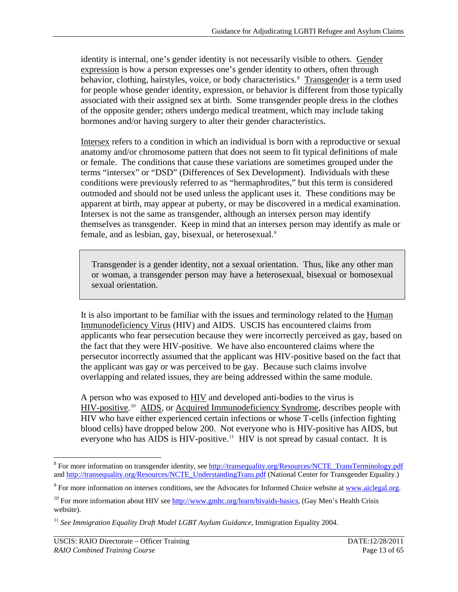identity is internal, one's gender identity is not necessarily visible to others. Gender expression is how a person expresses one's gender identity to others, often through behavior, clothing, hairstyles, voice, or body characteristics.<sup>[8](#page-12-0)</sup> Transgender is a term used for people whose gender identity, expression, or behavior is different from those typically associated with their assigned sex at birth. Some transgender people dress in the clothes of the opposite gender; others undergo medical treatment, which may include taking hormones and/or having surgery to alter their gender characteristics.

Intersex refers to a condition in which an individual is born with a reproductive or sexual anatomy and/or chromosome pattern that does not seem to fit typical definitions of male or female. The conditions that cause these variations are sometimes grouped under the terms "intersex" or "DSD" (Differences of Sex Development). Individuals with these conditions were previously referred to as "hermaphrodites," but this term is considered outmoded and should not be used unless the applicant uses it. These conditions may be apparent at birth, may appear at puberty, or may be discovered in a medical examination. Intersex is not the same as transgender, although an intersex person may identify themselves as transgender. Keep in mind that an intersex person may identify as male or female, and as lesbian, gay, bisexual, or heterosexual.<sup>[9](#page-12-1)</sup>

Transgender is a gender identity, not a sexual orientation. Thus, like any other man or woman, a transgender person may have a heterosexual, bisexual or homosexual sexual orientation.

It is also important to be familiar with the issues and terminology related to the Human Immunodeficiency Virus (HIV) and AIDS. USCIS has encountered claims from applicants who fear persecution because they were incorrectly perceived as gay, based on the fact that they were HIV-positive. We have also encountered claims where the persecutor incorrectly assumed that the applicant was HIV-positive based on the fact that the applicant was gay or was perceived to be gay. Because such claims involve overlapping and related issues, they are being addressed within the same module.

A person who was exposed to HIV and developed anti-bodies to the virus is HIV-positive.<sup>[10](#page-12-2)</sup> AIDS, or Acquired Immunodeficiency Syndrome, describes people with HIV who have either experienced certain infections or whose T-cells (infection fighting blood cells) have dropped below 200. Not everyone who is HIV-positive has AIDS, but everyone who has AIDS is HIV-positive.<sup>[11](#page-12-3)</sup> HIV is not spread by casual contact. It is

<span id="page-12-0"></span> $\overline{a}$ <sup>8</sup> For more information on transgender identity, see [http://transequality.org/Resources/NCTE\\_TransTerminology.pdf](http://transequality.org/Resources/NCTE_TransTerminology.pdf) and [http://transequality.org/Resources/NCTE\\_UnderstandingTrans.pdf](http://transequality.org/Resources/NCTE_UnderstandingTrans.pdf) (National Center for Transgender Equality.)

<span id="page-12-1"></span><sup>&</sup>lt;sup>9</sup> For more information on intersex conditions, see the Advocates for Informed Choice website at [www.aiclegal.org.](http://www.aiclegal.org/)

<span id="page-12-2"></span><sup>&</sup>lt;sup>10</sup> For more information about HIV see [http://www.gmhc.org/learn/hivaids-basics,](http://www.gmhc.org/learn/hivaids-basics) (Gay Men's Health Crisis website).

<span id="page-12-3"></span><sup>&</sup>lt;sup>11</sup> See Immigration Equality Draft Model LGBT Asylum Guidance, Immigration Equality 2004.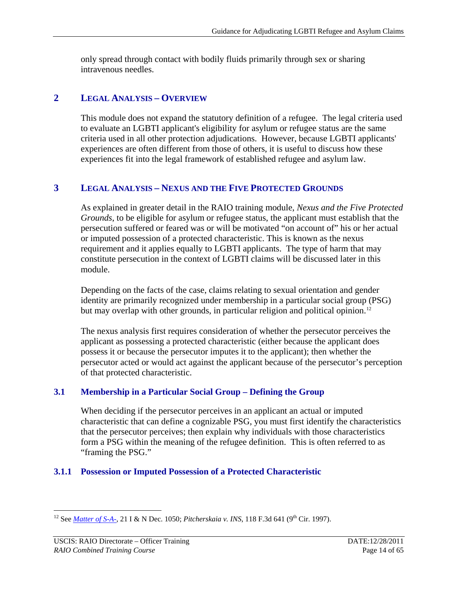only spread through contact with bodily fluids primarily through sex or sharing intravenous needles.

## <span id="page-13-0"></span>**2 LEGAL ANALYSIS – OVERVIEW**

This module does not expand the statutory definition of a refugee. The legal criteria used to evaluate an LGBTI applicant's eligibility for asylum or refugee status are the same criteria used in all other protection adjudications. However, because LGBTI applicants' experiences are often different from those of others, it is useful to discuss how these experiences fit into the legal framework of established refugee and asylum law.

## <span id="page-13-1"></span>**3 LEGAL ANALYSIS – NEXUS AND THE FIVE PROTECTED GROUNDS**

As explained in greater detail in the RAIO training module, *Nexus and the Five Protected Grounds*, to be eligible for asylum or refugee status, the applicant must establish that the persecution suffered or feared was or will be motivated "on account of" his or her actual or imputed possession of a protected characteristic. This is known as the nexus requirement and it applies equally to LGBTI applicants. The type of harm that may constitute persecution in the context of LGBTI claims will be discussed later in this module.

Depending on the facts of the case, claims relating to sexual orientation and gender identity are primarily recognized under membership in a particular social group (PSG) but may overlap with other grounds, in particular religion and political opinion.<sup>[12](#page-13-4)</sup>

The nexus analysis first requires consideration of whether the persecutor perceives the applicant as possessing a protected characteristic (either because the applicant does possess it or because the persecutor imputes it to the applicant); then whether the persecutor acted or would act against the applicant because of the persecutor's perception of that protected characteristic.

## <span id="page-13-2"></span>**3.1 Membership in a Particular Social Group – Defining the Group**

When deciding if the persecutor perceives in an applicant an actual or imputed characteristic that can define a cognizable PSG, you must first identify the characteristics that the persecutor perceives; then explain why individuals with those characteristics form a PSG within the meaning of the refugee definition. This is often referred to as "framing the PSG."

#### <span id="page-13-3"></span>**3.1.1 Possession or Imputed Possession of a Protected Characteristic**

<span id="page-13-4"></span> $\overline{a}$ <sup>12</sup> See *[Matter of S-A-](http://web2.westlaw.com/find/default.wl?mt=296&db=0001650&tc=-1&rp=%2ffind%2fdefault.wl&findtype=Y&ordoc=2023892495&serialnum=1997235118&vr=2.0&fn=_top&sv=Split&tf=-1&pbc=57537916&rs=WLW12.01&RLT=CLID_FQRLT3553859378171&TF=756&TC=1&n=1)*, 21 I & N Dec. 1050; *Pitcherskaia v. INS*, 118 F.3d 641 (9<sup>th</sup> Cir. 1997).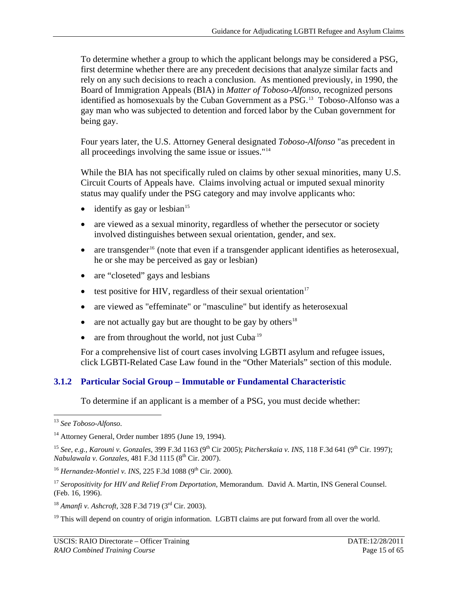To determine whether a group to which the applicant belongs may be considered a PSG, first determine whether there are any precedent decisions that analyze similar facts and rely on any such decisions to reach a conclusion. As mentioned previously, in 1990, the Board of Immigration Appeals (BIA) in *Matter of Toboso-Alfonso*, recognized persons identified as homosexuals by the Cuban Government as a PSG.<sup>[13](#page-14-1)</sup> Toboso-Alfonso was a gay man who was subjected to detention and forced labor by the Cuban government for being gay.

Four years later, the U.S. Attorney General designated *Toboso-Alfonso* "as precedent in all proceedings involving the same issue or issues."[14](#page-14-2)

While the BIA has not specifically ruled on claims by other sexual minorities, many U.S. Circuit Courts of Appeals have. Claims involving actual or imputed sexual minority status may qualify under the PSG category and may involve applicants who:

- $\bullet$  identify as gay or lesbian<sup>[15](#page-14-3)</sup>
- are viewed as a sexual minority, regardless of whether the persecutor or society involved distinguishes between sexual orientation, gender, and sex.
- $\bullet$  are transgender<sup>[16](#page-14-4)</sup> (note that even if a transgender applicant identifies as heterosexual, he or she may be perceived as gay or lesbian)
- are "closeted" gays and lesbians
- $\bullet$  test positive for HIV, regardless of their sexual orientation<sup>[17](#page-14-5)</sup>
- are viewed as "effeminate" or "masculine" but identify as heterosexual
- are not actually gay but are thought to be gay by others<sup>[18](#page-14-6)</sup>
- are from throughout the world, not just  $Cuba^{19}$  $Cuba^{19}$  $Cuba^{19}$

For a comprehensive list of court cases involving LGBTI asylum and refugee issues, click LGBTI-Related Case Law found in the "Other Materials" section of this module.

## <span id="page-14-0"></span>**3.1.2 Particular Social Group – Immutable or Fundamental Characteristic**

To determine if an applicant is a member of a PSG, you must decide whether:

<span id="page-14-1"></span><sup>13</sup> *See Toboso-Alfonso*.

<span id="page-14-2"></span><sup>&</sup>lt;sup>14</sup> Attorney General, Order number 1895 (June 19, 1994).

<span id="page-14-3"></span><sup>&</sup>lt;sup>15</sup> *See*, *e.g., Karouni v. Gonzales*, 399 F.3d 1163 (9<sup>th</sup> Cir 2005); *Pitcherskaia v. INS*, 118 F.3d 641 (9<sup>th</sup> Cir. 1997); *Nabulawala v. Gonzales*, 481 F.3d 1115 (8<sup>th</sup> Cir. 2007).

<span id="page-14-4"></span><sup>&</sup>lt;sup>16</sup> *Hernandez-Montiel v. INS, 225 F.3d 1088 (9<sup>th</sup> Cir. 2000).* 

<span id="page-14-5"></span><sup>17</sup> *Seropositivity for HIV and Relief From Deportation*, Memorandum. David A. Martin, INS General Counsel. (Feb. 16, 1996).

<span id="page-14-6"></span><sup>18</sup> *Amanfi v. Ashcroft*, 328 F.3d 719 (3rd Cir. 2003).

<span id="page-14-7"></span><sup>&</sup>lt;sup>19</sup> This will depend on country of origin information. LGBTI claims are put forward from all over the world.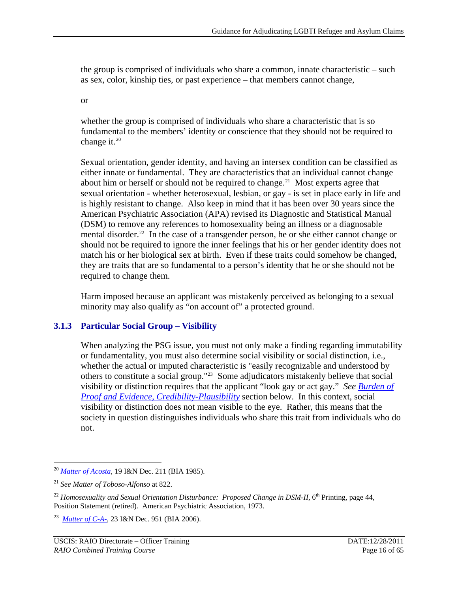the group is comprised of individuals who share a common, innate characteristic – such as sex, color, kinship ties, or past experience – that members cannot change,

or

whether the group is comprised of individuals who share a characteristic that is so fundamental to the members' identity or conscience that they should not be required to change it. $20$ 

sexual orientation - whether heterosexual, lesbian, or gay - is set in place early in life and is highly resistant to change. Also keep in mind that it has been over 30 years since the Sexual orientation, gender identity, and having an intersex condition can be classified as either innate or fundamental. They are characteristics that an individual cannot change about him or herself or should not be required to change.<sup>[21](#page-15-2)</sup> Most experts agree that American Psychiatric Association (APA) revised its Diagnostic and Statistical Manual (DSM) to remove any references to homosexuality being an illness or a diagnosable mental disorder.<sup>[22](#page-15-3)</sup> In the case of a transgender person, he or she either cannot change or should not be required to ignore the inner feelings that his or her gender identity does not match his or her biological sex at birth. Even if these traits could somehow be changed, they are traits that are so fundamental to a person's identity that he or she should not be required to change them.

Harm imposed because an applicant was mistakenly perceived as belonging to a sexual minority may also qualify as "on account of" a protected ground.

## <span id="page-15-0"></span>**3.1.3 Particular Social Group – Visibility**

When analyzing the PSG issue, you must not only make a finding regarding immutability or fundamentality, you must also determine social visibility or social distinction, i.e., whether the actual or imputed characteristic is "easily recognizable and understood by others to constitute a social group."[23](#page-15-4) Some adjudicators mistakenly believe that social visibility or distinction requires that the applicant "look gay or act gay." *See [Burden of](#page-38-1)  [Proof and Evidence, Credibility-Plausibility](#page-38-1)* section below. In this context, social visibility or distinction does not mean visible to the eye. Rather, this means that the society in question distinguishes individuals who share this trait from individuals who do not.

 $\overline{a}$ <sup>20</sup> *[Matter of Acosta](http://web2.westlaw.com/find/default.wl?cite=19+I%26N+Dec.+211+&rs=WLW12.01&vr=2.0&rp=%2ffind%2fdefault.wl&sv=Split&fn=_top&mt=Westlaw),* 19 I&N Dec. 211 (BIA 1985).

<span id="page-15-2"></span><span id="page-15-1"></span><sup>21</sup> *See Matter of Toboso-Alfonso* at 822.

<span id="page-15-3"></span><sup>&</sup>lt;sup>22</sup> *Homosexuality and Sexual Orientation Disturbance: Proposed Change in DSM-II*, 6<sup>th</sup> Printing, page 44, Position Statement (retired). American Psychiatric Association, 1973.

<span id="page-15-4"></span><sup>23</sup> *[Matter of C-A-](http://web2.westlaw.com/find/default.wl?cite=23+I%26N+Dec.+951+&rs=WLW12.01&vr=2.0&rp=%2ffind%2fdefault.wl&sv=Split&fn=_top&mt=26)*, 23 I&N Dec. 951 (BIA 2006).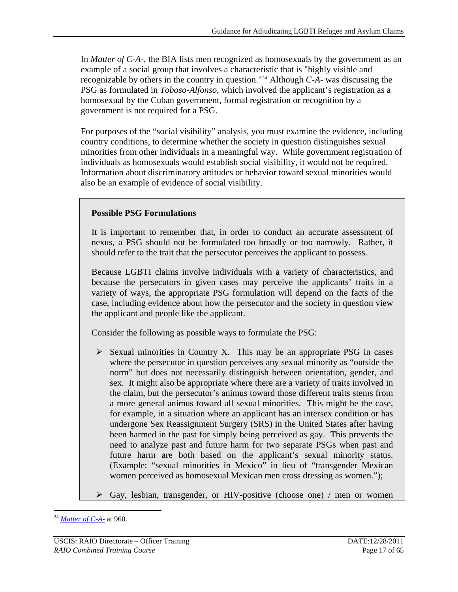In *Matter of C-A-*, the BIA lists men recognized as homosexuals by the government as an example of a social group that involves a characteristic that is "highly visible and recognizable by others in the country in question."[24](#page-16-0) Although *C-A-* was discussing the PSG as formulated in *Toboso-Alfonso*, which involved the applicant's registration as a homosexual by the Cuban government, formal registration or recognition by a government is not required for a PSG.

For purposes of the "social visibility" analysis, you must examine the evidence, including country conditions, to determine whether the society in question distinguishes sexual minorities from other individuals in a meaningful way. While government registration of individuals as homosexuals would establish social visibility, it would not be required. Information about discriminatory attitudes or behavior toward sexual minorities would also be an example of evidence of social visibility.

#### **Possible PSG Formulations**

It is important to remember that, in order to conduct an accurate assessment of nexus, a PSG should not be formulated too broadly or too narrowly. Rather, it should refer to the trait that the persecutor perceives the applicant to possess.

Because LGBTI claims involve individuals with a variety of characteristics, and because the persecutors in given cases may perceive the applicants' traits in a variety of ways, the appropriate PSG formulation will depend on the facts of the case, including evidence about how the persecutor and the society in question view the applicant and people like the applicant.

Consider the following as possible ways to formulate the PSG:

- $\triangleright$  Sexual minorities in Country X. This may be an appropriate PSG in cases where the persecutor in question perceives any sexual minority as "outside the norm" but does not necessarily distinguish between orientation, gender, and sex. It might also be appropriate where there are a variety of traits involved in the claim, but the persecutor's animus toward those different traits stems from a more general animus toward all sexual minorities. This might be the case, for example, in a situation where an applicant has an intersex condition or has undergone Sex Reassignment Surgery (SRS) in the United States after having been harmed in the past for simply being perceived as gay. This prevents the need to analyze past and future harm for two separate PSGs when past and future harm are both based on the applicant's sexual minority status. (Example: "sexual minorities in Mexico" in lieu of "transgender Mexican women perceived as homosexual Mexican men cross dressing as women.");
- $\triangleright$  Gay, lesbian, transgender, or HIV-positive (choose one) / men or women

<span id="page-16-0"></span> $\overline{a}$ <sup>24</sup> *[Matter of C-A-](http://web2.westlaw.com/find/default.wl?cite=23+I%26N+Dec.+960+&rs=WLW12.01&vr=2.0&rp=%2ffind%2fdefault.wl&sv=Split&fn=_top&mt=26)* at 960.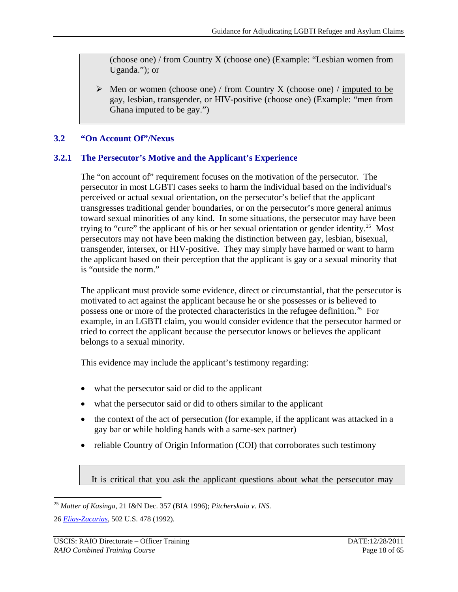(choose one) / from Country X (choose one) (Example: "Lesbian women from Uganda."); or

 $\triangleright$  Men or women (choose one) / from Country X (choose one) / imputed to be gay, lesbian, transgender, or HIV-positive (choose one) (Example: "men from Ghana imputed to be gay.")

#### <span id="page-17-0"></span>**3.2 "On Account Of"/Nexus**

#### <span id="page-17-1"></span>**3.2.1 The Persecutor's Motive and the Applicant's Experience**

The "on account of" requirement focuses on the motivation of the persecutor. The persecutor in most LGBTI cases seeks to harm the individual based on the individual's perceived or actual sexual orientation, on the persecutor's belief that the applicant transgresses traditional gender boundaries, or on the persecutor's more general animus toward sexual minorities of any kind. In some situations, the persecutor may have been trying to "cure" the applicant of his or her sexual orientation or gender identity.<sup>[25](#page-17-2)</sup> Most persecutors may not have been making the distinction between gay, lesbian, bisexual, transgender, intersex, or HIV-positive. They may simply have harmed or want to harm the applicant based on their perception that the applicant is gay or a sexual minority that is "outside the norm."

The applicant must provide some evidence, direct or circumstantial, that the persecutor is motivated to act against the applicant because he or she possesses or is believed to possess one or more of the protected characteristics in the refugee definition.<sup>[26](#page-17-3)</sup> For example, in an LGBTI claim, you would consider evidence that the persecutor harmed or tried to correct the applicant because the persecutor knows or believes the applicant belongs to a sexual minority.

This evidence may include the applicant's testimony regarding:

- what the persecutor said or did to the applicant
- what the persecutor said or did to others similar to the applicant
- the context of the act of persecution (for example, if the applicant was attacked in a gay bar or while holding hands with a same-sex partner)
- reliable Country of Origin Information (COI) that corroborates such testimony

It is critical that you ask the applicant questions about what the persecutor may

<span id="page-17-2"></span> $\overline{a}$ <sup>25</sup> *Matter of Kasinga*[, 21 I&N Dec. 357 \(BIA 1996\);](http://web2.westlaw.com/find/default.wl?cite=21+I%26N+Dec.+357&rs=WLW12.01&vr=2.0&rp=%2ffind%2fdefault.wl&sv=Split&fn=_top&mt=26) *Pitcherskaia v. INS.*

<span id="page-17-3"></span><sup>26</sup> *[Elias-Zacarias](http://web2.westlaw.com/find/default.wl?cite=502+U.S.+478+&rs=WLW12.01&vr=2.0&rp=%2ffind%2fdefault.wl&sv=Split&fn=_top&mt=26)*, 502 U.S. 478 (1992).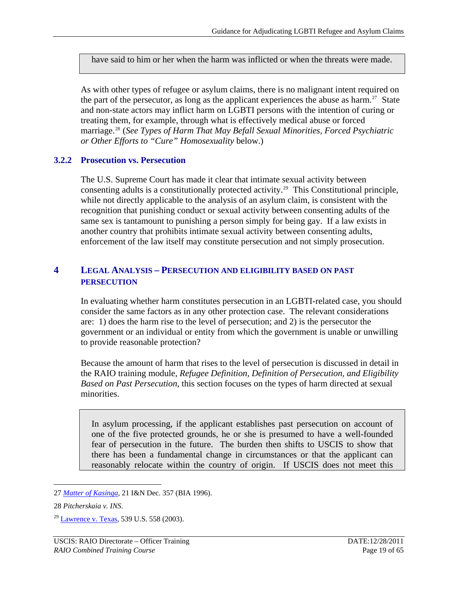have said to him or her when the harm was inflicted or when the threats were made.

As with other types of refugee or asylum claims, there is no malignant intent required on the part of the persecutor, as long as the applicant experiences the abuse as harm.<sup>[27](#page-18-2)</sup> State and non-state actors may inflict harm on LGBTI persons with the intention of curing or treating them, for example, through what is effectively medical abuse or forced marriage.[28](#page-18-3) (*See Types of Harm That May Befall Sexual Minorities, Forced Psychiatric or Other Efforts to "Cure" Homosexuality* below.)

#### <span id="page-18-0"></span>**3.2.2 Prosecution vs. Persecution**

The U.S. Supreme Court has made it clear that intimate sexual activity between consenting adults is a constitutionally protected activity.<sup>[29](#page-18-4)</sup> This Constitutional principle, while not directly applicable to the analysis of an asylum claim, is consistent with the recognition that punishing conduct or sexual activity between consenting adults of the same sex is tantamount to punishing a person simply for being gay. If a law exists in another country that prohibits intimate sexual activity between consenting adults, enforcement of the law itself may constitute persecution and not simply prosecution.

#### <span id="page-18-1"></span>**4 LEGAL ANALYSIS – PERSECUTION AND ELIGIBILITY BASED ON PAST PERSECUTION**

In evaluating whether harm constitutes persecution in an LGBTI-related case, you should consider the same factors as in any other protection case. The relevant considerations are: 1) does the harm rise to the level of persecution; and 2) is the persecutor the government or an individual or entity from which the government is unable or unwilling to provide reasonable protection?

Because the amount of harm that rises to the level of persecution is discussed in detail in the RAIO training module, *Refugee Definition, Definition of Persecution, and Eligibility Based on Past Persecution*, this section focuses on the types of harm directed at sexual minorities.

In asylum processing, if the applicant establishes past persecution on account of one of the five protected grounds, he or she is presumed to have a well-founded fear of persecution in the future. The burden then shifts to USCIS to show that there has been a fundamental change in circumstances or that the applicant can reasonably relocate within the country of origin. If USCIS does not meet this

<span id="page-18-2"></span> $\overline{a}$ 27 *[Matter of Kasinga](http://web2.westlaw.com/find/default.wl?cite=21+I%26N+Dec.+357+&rs=WLW12.01&vr=2.0&rp=%2ffind%2fdefault.wl&sv=Split&fn=_top&mt=26)*, 21 I&N Dec. 357 (BIA 1996).

<span id="page-18-3"></span><sup>28</sup> *Pitcherskaia v. INS*.

<span id="page-18-4"></span><sup>29</sup> [Lawrence v. Texas,](http://web2.westlaw.com/find/default.wl?cite=539+U.S.+558+&rs=WLW12.01&vr=2.0&rp=%2ffind%2fdefault.wl&sv=Split&fn=_top&mt=26) 539 U.S. 558 (2003).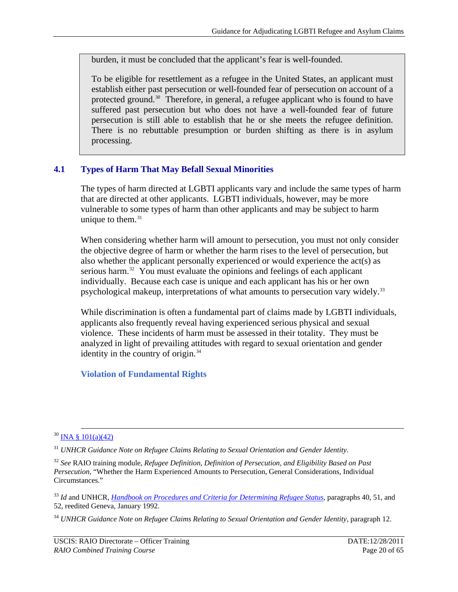burden, it must be concluded that the applicant's fear is well-founded.

To be eligible for resettlement as a refugee in the United States, an applicant must establish either past persecution or well-founded fear of persecution on account of a protected ground.<sup>[30](#page-19-1)</sup> Therefore, in general, a refugee applicant who is found to have suffered past persecution but who does not have a well-founded fear of future persecution is still able to establish that he or she meets the refugee definition. There is no rebuttable presumption or burden shifting as there is in asylum processing.

## <span id="page-19-0"></span>**4.1 Types of Harm That May Befall Sexual Minorities**

The types of harm directed at LGBTI applicants vary and include the same types of harm that are directed at other applicants. LGBTI individuals, however, may be more vulnerable to some types of harm than other applicants and may be subject to harm unique to them. $31$ 

When considering whether harm will amount to persecution, you must not only consider the objective degree of harm or whether the harm rises to the level of persecution, but also whether the applicant personally experienced or would experience the act(s) as serious harm.<sup>[32](#page-19-3)</sup> You must evaluate the opinions and feelings of each applicant individually. Because each case is unique and each applicant has his or her own psychological makeup, interpretations of what amounts to persecution vary widely.<sup>[33](#page-19-4)</sup>

While discrimination is often a fundamental part of claims made by LGBTI individuals, applicants also frequently reveal having experienced serious physical and sexual violence. These incidents of harm must be assessed in their totality. They must be analyzed in light of prevailing attitudes with regard to sexual orientation and gender identity in the country of origin.<sup>[34](#page-19-5)</sup>

## **Violation of Fundamental Rights**

<span id="page-19-1"></span> $30$  [INA § 101\(a\)\(42\)](http://www.uscis.gov/ilink/docView/SLB/HTML/SLB/0-0-0-1/0-0-0-29/0-0-0-101.html)

<span id="page-19-2"></span><sup>31</sup> *UNHCR Guidance Note on Refugee Claims Relating to Sexual Orientation and Gender Identity.*

<span id="page-19-3"></span><sup>32</sup> *See* RAIO training module, *Refugee Definition, Definition of Persecution, and Eligibility Based on Past Persecution*, "Whether the Harm Experienced Amounts to Persecution, General Considerations, Individual Circumstances."

<span id="page-19-4"></span><sup>33</sup> *Id* and UNHCR, *[Handbook on Procedures and Criteria for Determining Refugee Status](http://ecn.uscis.dhs.gov/team/raio/PerMgt/Training/RAD-RPTC/RDOT%20Curriculum%20Library/UNHCR%20Handbook%20for%20Determining%20Ref%20Status%20-%20LGBTI.pdf)*, paragraphs 40, 51, and 52, reedited Geneva, January 1992.

<span id="page-19-5"></span><sup>34</sup> *UNHCR Guidance Note on Refugee Claims Relating to Sexual Orientation and Gender Identity*, paragraph 12.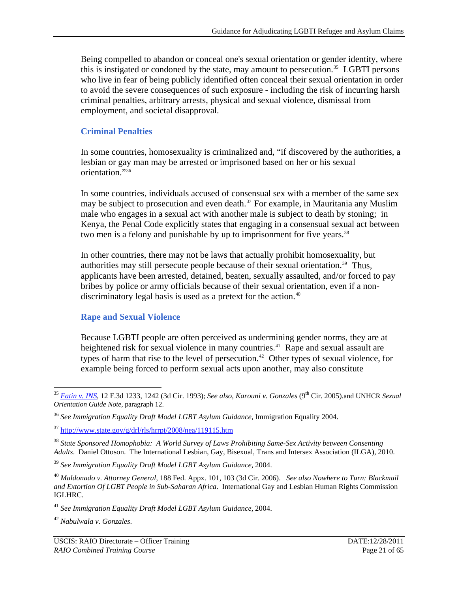Being compelled to abandon or conceal one's sexual orientation or gender identity, where this is instigated or condoned by the state, may amount to persecution.<sup>[35](#page-20-0)</sup> LGBTI persons who live in fear of being publicly identified often conceal their sexual orientation in order to avoid the severe consequences of such exposure - including the risk of incurring harsh criminal penalties, arbitrary arrests, physical and sexual violence, dismissal from employment, and societal disapproval.

#### **Criminal Penalties**

In some countries, homosexuality is criminalized and, "if discovered by the authorities, a lesbian or gay man may be arrested or imprisoned based on her or his sexual orientation."[36](#page-20-1)

In some countries, individuals accused of consensual sex with a member of the same sex may be subject to prosecution and even death.<sup>[37](#page-20-2)</sup> For example, in Mauritania any Muslim male who engages in a sexual act with another male is subject to death by stoning; in Kenya, the Penal Code explicitly states that engaging in a consensual sexual act between two men is a felony and punishable by up to imprisonment for five years.<sup>[38](#page-20-3)</sup>

In other countries, there may not be laws that actually prohibit homosexuality, but authorities may still persecute people because of their sexual orientation.<sup>[39](#page-20-4)</sup> Thus, applicants have been arrested, detained, beaten, sexually assaulted, and/or forced to pay bribes by police or army officials because of their sexual orientation, even if a nondiscriminatory legal basis is used as a pretext for the action. $40$ 

## **Rape and Sexual Violence**

Because LGBTI people are often perceived as undermining gender norms, they are at heightened risk for sexual violence in many countries.<sup>41</sup> Rape and sexual assault are types of harm that rise to the level of persecution.<sup>42</sup> Other types of sexual violence, for example being forced to perform sexual acts upon another, may also constitute

<span id="page-20-0"></span> $\overline{a}$ <sup>35</sup> *[Fatin v. INS](http://web2.westlaw.com/find/default.wl?cite=12+F.3d+1233&rs=WLW12.01&vr=2.0&rp=%2ffind%2fdefault.wl&sv=Split&fn=_top&mt=26)*, 12 F.3d 1233, 1242 (3d Cir. 1993); *See also, Karouni v. Gonzales* (9th Cir. 2005).and UNHCR *Sexual Orientation Guide Note,* paragraph 12.

<span id="page-20-1"></span><sup>36</sup> *See Immigration Equality Draft Model LGBT Asylum Guidance*, Immigration Equality 2004.

<span id="page-20-2"></span> $37 \text{ http://www.state.gov/g/dr1/rls/hrrpt/2008/nea/119115.htm}$ 

<span id="page-20-3"></span><sup>38</sup> *State Sponsored Homophobia: A World Survey of Laws Prohibiting Same-Sex Activity between Consenting Adults*. Daniel Ottoson. The International Lesbian, Gay, Bisexual, Trans and Intersex Association (ILGA), 2010.

<span id="page-20-4"></span><sup>39</sup> *See Immigration Equality Draft Model LGBT Asylum Guidance*, 2004.

<span id="page-20-5"></span><sup>40</sup> *Maldonado v. Attorney General,* 188 Fed. Appx. 101, 103 (3d Cir. 2006). *See also Nowhere to Turn: Blackmail and Extortion Of LGBT People in Sub-Saharan Africa*. International Gay and Lesbian Human Rights Commission IGLHRC.

<span id="page-20-6"></span><sup>41</sup> *See Immigration Equality Draft Model LGBT Asylum Guidance*, 2004.

<span id="page-20-7"></span><sup>42</sup> *Nabulwala v. Gonzales*.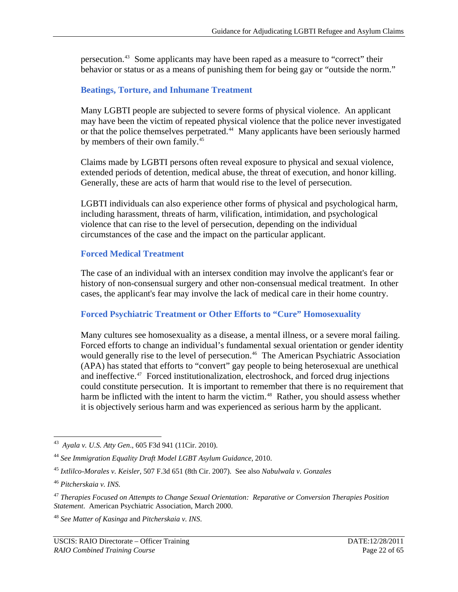persecution.[43](#page-21-0) Some applicants may have been raped as a measure to "correct" their behavior or status or as a means of punishing them for being gay or "outside the norm."

#### **Beatings, Torture, and Inhumane Treatment**

Many LGBTI people are subjected to severe forms of physical violence. An applicant may have been the victim of repeated physical violence that the police never investigated or that the police themselves perpetrated.[44](#page-21-1) Many applicants have been seriously harmed by members of their own family.<sup>[45](#page-21-2)</sup>

Claims made by LGBTI persons often reveal exposure to physical and sexual violence, extended periods of detention, medical abuse, the threat of execution, and honor killing. Generally, these are acts of harm that would rise to the level of persecution.

LGBTI individuals can also experience other forms of physical and psychological harm, including harassment, threats of harm, vilification, intimidation, and psychological violence that can rise to the level of persecution, depending on the individual circumstances of the case and the impact on the particular applicant.

#### **Forced Medical Treatment**

The case of an individual with an intersex condition may involve the applicant's fear or history of non-consensual surgery and other non-consensual medical treatment. In other cases, the applicant's fear may involve the lack of medical care in their home country.

## **Forced Psychiatric Treatment or Other Efforts to "Cure" Homosexuality**

Many cultures see homosexuality as a disease, a mental illness, or a severe moral failing. Forced efforts to change an individual's fundamental sexual orientation or gender identity would generally rise to the level of persecution.<sup>[46](#page-21-3)</sup> The American Psychiatric Association (APA) has stated that efforts to "convert" gay people to being heterosexual are unethical and ineffective.<sup>[47](#page-21-4)</sup> Forced institutionalization, electroshock, and forced drug injections could constitute persecution. It is important to remember that there is no requirement that harm be inflicted with the intent to harm the victim.<sup>[48](#page-21-5)</sup> Rather, you should assess whether it is objectively serious harm and was experienced as serious harm by the applicant.

 $\overline{a}$ 43 *Ayala v. U.S. Atty Gen*., 605 F3d 941 (11Cir. 2010).

<span id="page-21-1"></span><span id="page-21-0"></span><sup>44</sup> *See Immigration Equality Draft Model LGBT Asylum Guidance*, 2010.

<span id="page-21-2"></span><sup>45</sup> *Ixtlilco-Morales v. Keisler,* 507 F.3d 651 (8th Cir. 2007). See also *Nabulwala v. Gonzales* 

<span id="page-21-3"></span><sup>46</sup> *Pitcherskaia v. INS*.

<span id="page-21-4"></span><sup>47</sup> *Therapies Focused on Attempts to Change Sexual Orientation: Reparative or Conversion Therapies Position Statement*. American Psychiatric Association, March 2000.

<span id="page-21-5"></span><sup>48</sup> *See [Matter of Kasinga](http://web2.westlaw.com/find/default.wl?findcite=21+I%26N+Dec.+357&RS=WLW2.67&VR=2.0&SV=Split&FN=_top&MT=Westlaw&findgo.x=11&findgo.y=11)* and *Pitcherskaia v. INS*.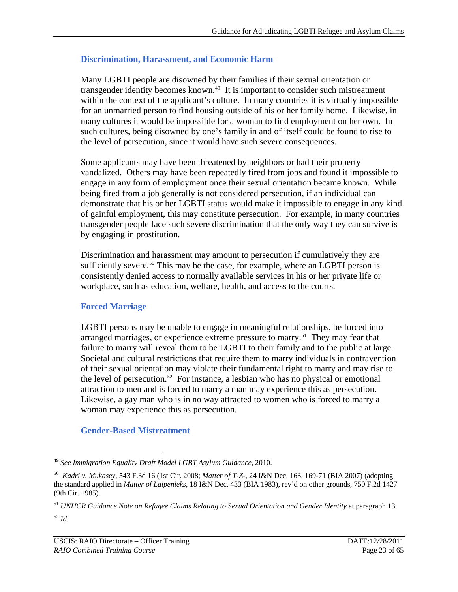#### **Discrimination, Harassment, and Economic Harm**

Many LGBTI people are disowned by their families if their sexual orientation or transgender identity becomes known.<sup>[49](#page-22-0)</sup> It is important to consider such mistreatment within the context of the applicant's culture. In many countries it is virtually impossible for an unmarried person to find housing outside of his or her family home. Likewise, in many cultures it would be impossible for a woman to find employment on her own. In such cultures, being disowned by one's family in and of itself could be found to rise to the level of persecution, since it would have such severe consequences.

Some applicants may have been threatened by neighbors or had their property vandalized. Others may have been repeatedly fired from jobs and found it impossible to engage in any form of employment once their sexual orientation became known. While being fired from a job generally is not considered persecution, if an individual can demonstrate that his or her LGBTI status would make it impossible to engage in any kind of gainful employment, this may constitute persecution. For example, in many countries transgender people face such severe discrimination that the only way they can survive is by engaging in prostitution.

Discrimination and harassment may amount to persecution if cumulatively they are sufficiently severe.<sup>[50](#page-22-1)</sup> This may be the case, for example, where an LGBTI person is consistently denied access to normally available services in his or her private life or workplace, such as education, welfare, health, and access to the courts.

#### **Forced Marriage**

LGBTI persons may be unable to engage in meaningful relationships, be forced into arranged marriages, or experience extreme pressure to marry.<sup>[51](#page-22-2)</sup> They may fear that failure to marry will reveal them to be LGBTI to their family and to the public at large. Societal and cultural restrictions that require them to marry individuals in contravention of their sexual orientation may violate their fundamental right to marry and may rise to the level of persecution.<sup>[52](#page-22-3)</sup> For instance, a lesbian who has no physical or emotional attraction to men and is forced to marry a man may experience this as persecution. Likewise, a gay man who is in no way attracted to women who is forced to marry a woman may experience this as persecution.

#### **Gender-Based Mistreatment**

 $\overline{a}$ <sup>49</sup> *See Immigration Equality Draft Model LGBT Asylum Guidance*, 2010.

<span id="page-22-1"></span><span id="page-22-0"></span><sup>50</sup> *Kadri v. Mukasey,* 543 F.3d 16 (1st Cir. 2008; *[Matter of T-Z-](http://web2.westlaw.com/find/default.wl?fn=_top&rs=WLW7.07&rp=%2ffind%2fdefault.wl&mt=Westlaw&vr=2.0&sv=Split&cite=24+i.%26n.+dec+163)*, 24 I&N Dec. 163, 169-71 (BIA 2007) (adopting the standard applied in *[Matter of Laipenieks](http://web2.westlaw.com/find/default.wl?fn=_top&rs=WLW7.10&rp=%2ffind%2fdefault.wl&mt=Westlaw&vr=2.0&sv=Split&cite=18+I%26N+Dec.+433)*, 18 I&N Dec. 433 (BIA 1983), rev'd on other grounds, [750 F.2d 1427](http://web2.westlaw.com/find/default.wl?fn=_top&rs=WLW7.10&rp=%2ffind%2fdefault.wl&mt=Westlaw&vr=2.0&sv=Split&cite=+750+F.2d+1427) (9th Cir. 1985).

<span id="page-22-3"></span><span id="page-22-2"></span><sup>51</sup> *UNHCR Guidance Note on Refugee Claims Relating to Sexual Orientation and Gender Identity* at paragraph 13. <sup>52</sup> *Id*.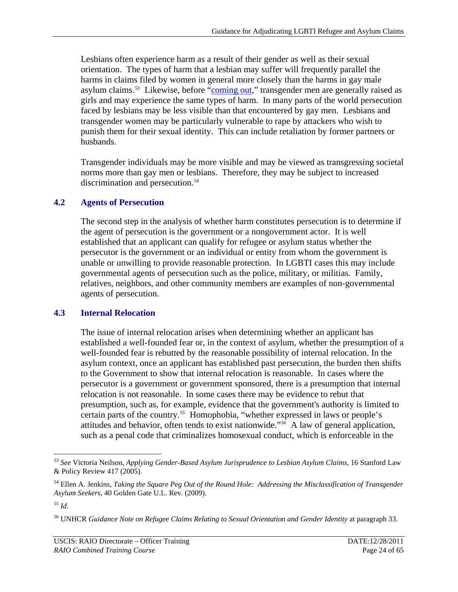Lesbians often experience harm as a result of their gender as well as their sexual orientation. The types of harm that a lesbian may suffer will frequently parallel the harms in claims filed by women in general more closely than the harms in gay male asylum claims.<sup>[53](#page-23-2)</sup> Likewise, before ["coming out,](#page-51-2)" transgender men are generally raised as girls and may experience the same types of harm. In many parts of the world persecution faced by lesbians may be less visible than that encountered by gay men. Lesbians and transgender women may be particularly vulnerable to rape by attackers who wish to punish them for their sexual identity. This can include retaliation by former partners or husbands.

Transgender individuals may be more visible and may be viewed as transgressing societal norms more than gay men or lesbians. Therefore, they may be subject to increased discrimination and persecution.<sup>54</sup>

#### <span id="page-23-0"></span>**4.2 Agents of Persecution**

The second step in the analysis of whether harm constitutes persecution is to determine if the agent of persecution is the government or a nongovernment actor. It is well established that an applicant can qualify for refugee or asylum status whether the persecutor is the government or an individual or entity from whom the government is unable or unwilling to provide reasonable protection. In LGBTI cases this may include governmental agents of persecution such as the police, military, or militias. Family, relatives, neighbors, and other community members are examples of non-governmental agents of persecution.

#### <span id="page-23-1"></span>**4.3 Internal Relocation**

The issue of internal relocation arises when determining whether an applicant has established a well-founded fear or, in the context of asylum, whether the presumption of a well-founded fear is rebutted by the reasonable possibility of internal relocation. In the asylum context, once an applicant has established past persecution, the burden then shifts to the Government to show that internal relocation is reasonable. In cases where the persecutor is a government or government sponsored, there is a presumption that internal relocation is not reasonable. In some cases there may be evidence to rebut that presumption, such as, for example, evidence that the government's authority is limited to certain parts of the country.<sup>[55](#page-23-4)</sup> Homophobia, "whether expressed in laws or people's attitudes and behavior, often tends to exist nationwide."[56](#page-23-5) A law of general application, such as a penal code that criminalizes homosexual conduct, which is enforceable in the

<span id="page-23-2"></span> $\overline{a}$ <sup>53</sup> *See* Victoria Neilson, *Applying Gender-Based Asylum Jurisprudence to Lesbian Asylum Claims*, 16 Stanford Law & Policy Review 417 (2005).

<span id="page-23-3"></span><sup>54</sup> Ellen A. Jenkins, *Taking the Square Peg Out of the Round Hole: Addressing the Misclassification of Transgender Asylum Seekers,* 40 Golden Gate U.L. Rev. (2009).

<span id="page-23-4"></span><sup>55</sup> *Id*.

<span id="page-23-5"></span><sup>56</sup> UNHCR *Guidance Note on Refugee Claims Relating to Sexual Orientation and Gender Identity* at paragraph 33.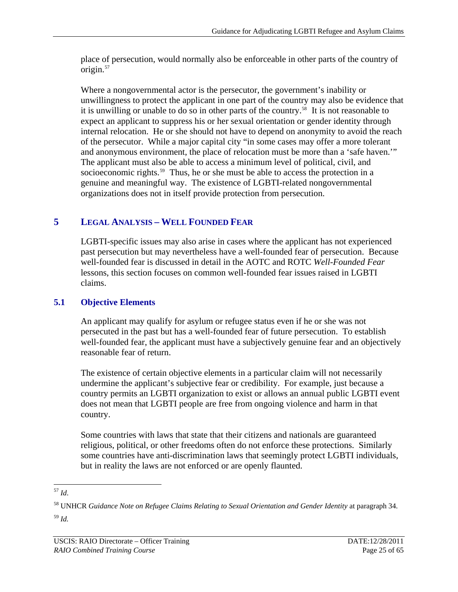place of persecution, would normally also be enforceable in other parts of the country of origin.<sup>[57](#page-24-2)</sup>

organizations does not in itself provide protection from persecution. Where a nongovernmental actor is the persecutor, the government's inability or unwillingness to protect the applicant in one part of the country may also be evidence that it is unwilling or unable to do so in other parts of the country.[58](#page-24-3) It is not reasonable to expect an applicant to suppress his or her sexual orientation or gender identity through internal relocation. He or she should not have to depend on anonymity to avoid the reach of the persecutor. While a major capital city "in some cases may offer a more tolerant and anonymous environment, the place of relocation must be more than a 'safe haven.'" The applicant must also be able to access a minimum level of political, civil, and socioeconomic rights.<sup>[59](#page-24-4)</sup> Thus, he or she must be able to access the protection in a genuine and meaningful way. The existence of LGBTI-related nongovernmental

## <span id="page-24-0"></span>**5 LEGAL ANALYSIS – WELL FOUNDED FEAR**

LGBTI-specific issues may also arise in cases where the applicant has not experienced past persecution but may nevertheless have a well-founded fear of persecution. Because well-founded fear is discussed in detail in the AOTC and ROTC *Well-Founded Fear* lessons, this section focuses on common well-founded fear issues raised in LGBTI claims.

## <span id="page-24-1"></span>**5.1 Objective Elements**

An applicant may qualify for asylum or refugee status even if he or she was not persecuted in the past but has a well-founded fear of future persecution. To establish well-founded fear, the applicant must have a subjectively genuine fear and an objectively reasonable fear of return.

The existence of certain objective elements in a particular claim will not necessarily undermine the applicant's subjective fear or credibility. For example, just because a country permits an LGBTI organization to exist or allows an annual public LGBTI event does not mean that LGBTI people are free from ongoing violence and harm in that country.

Some countries with laws that state that their citizens and nationals are guaranteed religious, political, or other freedoms often do not enforce these protections. Similarly some countries have anti-discrimination laws that seemingly protect LGBTI individuals, but in reality the laws are not enforced or are openly flaunted.

<span id="page-24-4"></span><sup>59</sup> *Id.*

 $\overline{a}$ <sup>57</sup> *Id*.

<span id="page-24-3"></span><span id="page-24-2"></span><sup>58</sup> UNHCR *Guidance Note on Refugee Claims Relating to Sexual Orientation and Gender Identity* at paragraph 34.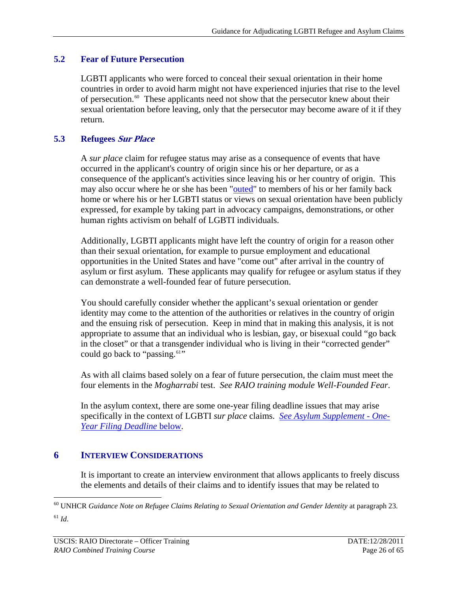#### <span id="page-25-0"></span>**5.2 Fear of Future Persecution**

LGBTI applicants who were forced to conceal their sexual orientation in their home countries in order to avoid harm might not have experienced injuries that rise to the level of persecution.<sup>[60](#page-25-3)</sup> These applicants need not show that the persecutor knew about their sexual orientation before leaving, only that the persecutor may become aware of it if they return.

#### <span id="page-25-1"></span>**5.3 Refugees Sur Place**

A *sur place* claim for refugee status may arise as a consequence of events that have occurred in the applicant's country of origin since his or her departure, or as a consequence of the applicant's activities since leaving his or her country of origin. This may also occur where he or she has been "[outed"](#page-52-0) to members of his or her family back home or where his or her LGBTI status or views on sexual orientation have been publicly expressed, for example by taking part in advocacy campaigns, demonstrations, or other human rights activism on behalf of LGBTI individuals.

Additionally, LGBTI applicants might have left the country of origin for a reason other than their sexual orientation, for example to pursue employment and educational opportunities in the United States and have "come out" after arrival in the country of asylum or first asylum. These applicants may qualify for refugee or asylum status if they can demonstrate a well-founded fear of future persecution.

You should carefully consider whether the applicant's sexual orientation or gender identity may come to the attention of the authorities or relatives in the country of origin and the ensuing risk of persecution. Keep in mind that in making this analysis, it is not appropriate to assume that an individual who is lesbian, gay, or bisexual could "go back in the closet" or that a transgender individual who is living in their "corrected gender" could go back to "passing. $61"$  $61"$ "

As with all claims based solely on a fear of future persecution, the claim must meet the four elements in the *Mogharrabi* test. *See RAIO training module Well-Founded Fear*.

In the asylum context, there are some one-year filing deadline issues that may arise specifically in the context of LGBTI *sur place* claims. *[See Asylum Supplement - One-](#page-60-4)[Year Filing Deadline](#page-60-4)* below.

## <span id="page-25-2"></span>**6 INTERVIEW CONSIDERATIONS**

It is important to create an interview environment that allows applicants to freely discuss the elements and details of their claims and to identify issues that may be related to

<span id="page-25-4"></span><span id="page-25-3"></span> $\overline{a}$ 60 UNHCR *Guidance Note on Refugee Claims Relating to Sexual Orientation and Gender Identity* at paragraph 23. <sup>61</sup> *Id*.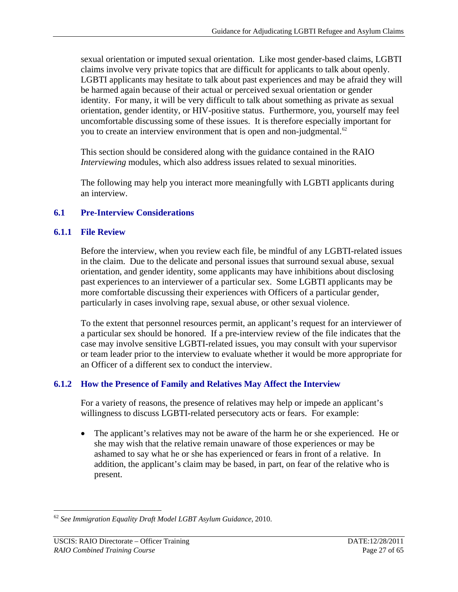sexual orientation or imputed sexual orientation. Like most gender-based claims, LGBTI claims involve very private topics that are difficult for applicants to talk about openly. LGBTI applicants may hesitate to talk about past experiences and may be afraid they will be harmed again because of their actual or perceived sexual orientation or gender identity. For many, it will be very difficult to talk about something as private as sexual orientation, gender identity, or HIV-positive status. Furthermore, you, yourself may feel uncomfortable discussing some of these issues. It is therefore especially important for you to create an interview environment that is open and non-judgmental.<sup>[62](#page-26-3)</sup>

This section should be considered along with the guidance contained in the RAIO *Interviewing* modules, which also address issues related to sexual minorities.

The following may help you interact more meaningfully with LGBTI applicants during an interview.

#### <span id="page-26-0"></span>**6.1 Pre-Interview Considerations**

#### <span id="page-26-1"></span>**6.1.1 File Review**

Before the interview, when you review each file, be mindful of any LGBTI-related issues in the claim. Due to the delicate and personal issues that surround sexual abuse, sexual orientation, and gender identity, some applicants may have inhibitions about disclosing past experiences to an interviewer of a particular sex. Some LGBTI applicants may be more comfortable discussing their experiences with Officers of a particular gender, particularly in cases involving rape, sexual abuse, or other sexual violence.

To the extent that personnel resources permit, an applicant's request for an interviewer of a particular sex should be honored. If a pre-interview review of the file indicates that the case may involve sensitive LGBTI-related issues, you may consult with your supervisor or team leader prior to the interview to evaluate whether it would be more appropriate for an Officer of a different sex to conduct the interview.

## <span id="page-26-2"></span>**6.1.2 How the Presence of Family and Relatives May Affect the Interview**

For a variety of reasons, the presence of relatives may help or impede an applicant's willingness to discuss LGBTI-related persecutory acts or fears. For example:

 The applicant's relatives may not be aware of the harm he or she experienced. He or she may wish that the relative remain unaware of those experiences or may be ashamed to say what he or she has experienced or fears in front of a relative. In addition, the applicant's claim may be based, in part, on fear of the relative who is present.

<span id="page-26-3"></span> $\overline{a}$ <sup>62</sup> *See Immigration Equality Draft Model LGBT Asylum Guidance*, 2010.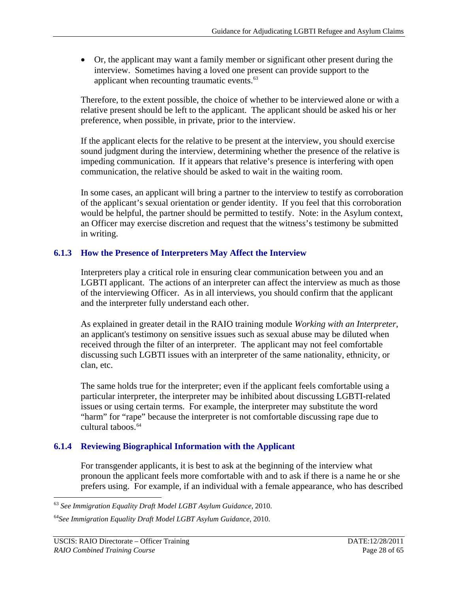Or, the applicant may want a family member or significant other present during the interview. Sometimes having a loved one present can provide support to the applicant when recounting traumatic events.<sup>[63](#page-27-2)</sup>

Therefore, to the extent possible, the choice of whether to be interviewed alone or with a relative present should be left to the applicant. The applicant should be asked his or her preference, when possible, in private, prior to the interview.

If the applicant elects for the relative to be present at the interview, you should exercise sound judgment during the interview, determining whether the presence of the relative is impeding communication. If it appears that relative's presence is interfering with open communication, the relative should be asked to wait in the waiting room.

In some cases, an applicant will bring a partner to the interview to testify as corroboration of the applicant's sexual orientation or gender identity. If you feel that this corroboration would be helpful, the partner should be permitted to testify. Note: in the Asylum context, an Officer may exercise discretion and request that the witness's testimony be submitted in writing.

## <span id="page-27-0"></span>**6.1.3 How the Presence of Interpreters May Affect the Interview**

Interpreters play a critical role in ensuring clear communication between you and an LGBTI applicant. The actions of an interpreter can affect the interview as much as those of the interviewing Officer. As in all interviews, you should confirm that the applicant and the interpreter fully understand each other.

As explained in greater detail in the RAIO training module *Working with an Interpreter,* an applicant's testimony on sensitive issues such as sexual abuse may be diluted when received through the filter of an interpreter. The applicant may not feel comfortable discussing such LGBTI issues with an interpreter of the same nationality, ethnicity, or clan, etc.

The same holds true for the interpreter; even if the applicant feels comfortable using a particular interpreter, the interpreter may be inhibited about discussing LGBTI-related issues or using certain terms. For example, the interpreter may substitute the word "harm" for "rape" because the interpreter is not comfortable discussing rape due to  $\text{cultural tahos}$ <sup>64</sup>

## <span id="page-27-1"></span>**6.1.4 Reviewing Biographical Information with the Applicant**

For transgender applicants, it is best to ask at the beginning of the interview what pronoun the applicant feels more comfortable with and to ask if there is a name he or she prefers using. For example, if an individual with a female appearance, who has described

<span id="page-27-2"></span> $\overline{a}$ <sup>63</sup> *See Immigration Equality Draft Model LGBT Asylum Guidance*, 2010.

<span id="page-27-3"></span><sup>64</sup>*See Immigration Equality Draft Model LGBT Asylum Guidance*, 2010.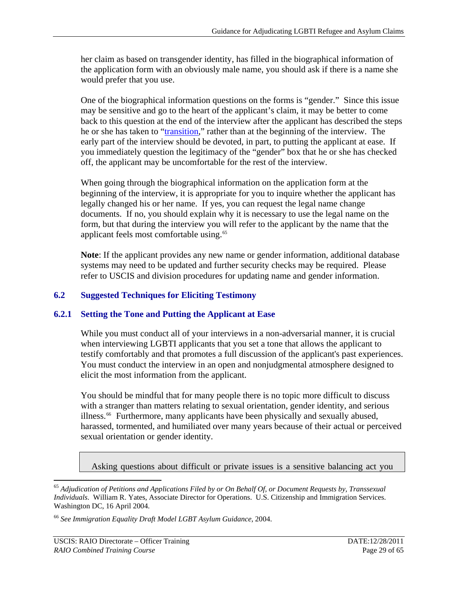her claim as based on transgender identity, has filled in the biographical information of the application form with an obviously male name, you should ask if there is a name she would prefer that you use.

One of the biographical information questions on the forms is "gender." Since this issue may be sensitive and go to the heart of the applicant's claim, it may be better to come back to this question at the end of the interview after the applicant has described the steps he or she has taken to ["transition](#page-53-0)," rather than at the beginning of the interview. The early part of the interview should be devoted, in part, to putting the applicant at ease. If you immediately question the legitimacy of the "gender" box that he or she has checked off, the applicant may be uncomfortable for the rest of the interview.

When going through the biographical information on the application form at the beginning of the interview, it is appropriate for you to inquire whether the applicant has legally changed his or her name. If yes, you can request the legal name change documents. If no, you should explain why it is necessary to use the legal name on the form, but that during the interview you will refer to the applicant by the name that the applicant feels most comfortable using.<sup>65</sup>

**Note**: If the applicant provides any new name or gender information, additional database systems may need to be updated and further security checks may be required. Please refer to USCIS and division procedures for updating name and gender information.

## <span id="page-28-0"></span>**6.2 Suggested Techniques for Eliciting Testimony**

#### <span id="page-28-1"></span>**6.2.1 Setting the Tone and Putting the Applicant at Ease**

While you must conduct all of your interviews in a non-adversarial manner, it is crucial when interviewing LGBTI applicants that you set a tone that allows the applicant to testify comfortably and that promotes a full discussion of the applicant's past experiences. You must conduct the interview in an open and nonjudgmental atmosphere designed to elicit the most information from the applicant.

You should be mindful that for many people there is no topic more difficult to discuss with a stranger than matters relating to sexual orientation, gender identity, and serious illness.[66](#page-28-3) Furthermore, many applicants have been physically and sexually abused, harassed, tormented, and humiliated over many years because of their actual or perceived sexual orientation or gender identity.

Asking questions about difficult or private issues is a sensitive balancing act you

<span id="page-28-2"></span> $\overline{a}$ <sup>65</sup> *Adjudication of Petitions and Applications Filed by or On Behalf Of, or Document Requests by, Transsexual Individuals*. William R. Yates, Associate Director for Operations. U.S. Citizenship and Immigration Services. Washington DC, 16 April 2004.

<span id="page-28-3"></span><sup>66</sup> *See Immigration Equality Draft Model LGBT Asylum Guidance*, 2004.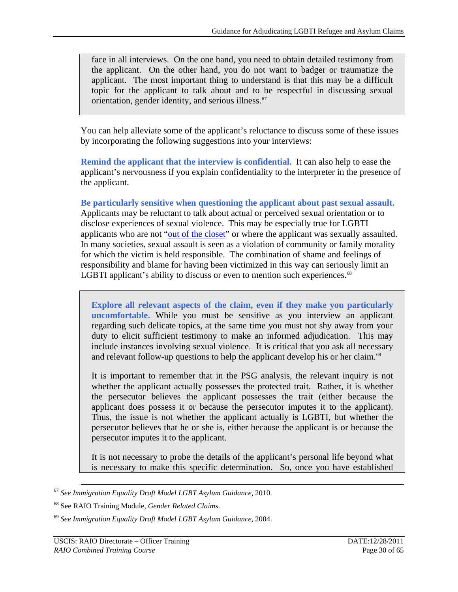face in all interviews. On the one hand, you need to obtain detailed testimony from the applicant. On the other hand, you do not want to badger or traumatize the applicant. The most important thing to understand is that this may be a difficult topic for the applicant to talk about and to be respectful in discussing sexual orientation, gender identity, and serious illness.<sup>[67](#page-29-0)</sup>

You can help alleviate some of the applicant's reluctance to discuss some of these issues by incorporating the following suggestions into your interviews:

**Remind the applicant that the interview is confidential.** It can also help to ease the applicant's nervousness if you explain confidentiality to the interpreter in the presence of the applicant.

**Be particularly sensitive when questioning the applicant about past sexual assault.**  Applicants may be reluctant to talk about actual or perceived sexual orientation or to disclose experiences of sexual violence. This may be especially true for LGBTI applicants who are not "[out of the closet"](#page-51-3) or where the applicant was sexually assaulted. In many societies, sexual assault is seen as a violation of community or family morality for which the victim is held responsible. The combination of shame and feelings of responsibility and blame for having been victimized in this way can seriously limit an LGBTI applicant's ability to discuss or even to mention such experiences.<sup>[68](#page-29-1)</sup>

**Explore all relevant aspects of the claim, even if they make you particularly uncomfortable.** While you must be sensitive as you interview an applicant regarding such delicate topics, at the same time you must not shy away from your duty to elicit sufficient testimony to make an informed adjudication. This may include instances involving sexual violence. It is critical that you ask all necessary and relevant follow-up questions to help the applicant develop his or her claim.<sup>[69](#page-29-2)</sup>

It is important to remember that in the PSG analysis, the relevant inquiry is not whether the applicant actually possesses the protected trait. Rather, it is whether the persecutor believes the applicant possesses the trait (either because the applicant does possess it or because the persecutor imputes it to the applicant). Thus, the issue is not whether the applicant actually is LGBTI, but whether the persecutor believes that he or she is, either because the applicant is or because the persecutor imputes it to the applicant.

It is not necessary to probe the details of the applicant's personal life beyond what is necessary to make this specific determination. So, once you have established

<span id="page-29-0"></span> <sup>67</sup> *See Immigration Equality Draft Model LGBT Asylum Guidance*, 2010.

<span id="page-29-1"></span><sup>68</sup> See RAIO Training Module, *Gender Related Claims*.

<span id="page-29-2"></span><sup>69</sup> *See Immigration Equality Draft Model LGBT Asylum Guidance*, 2004.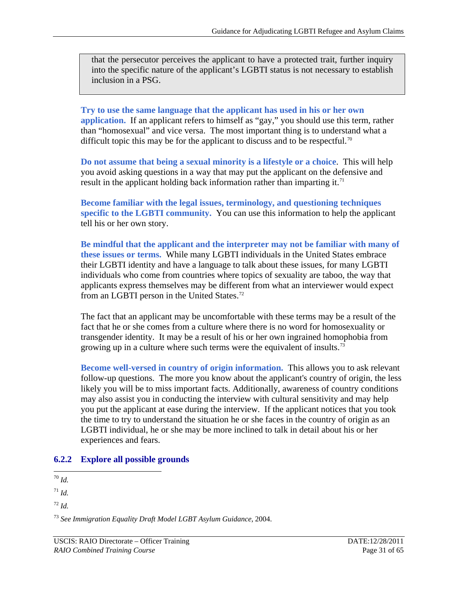that the persecutor perceives the applicant to have a protected trait, further inquiry into the specific nature of the applicant's LGBTI status is not necessary to establish inclusion in a PSG.

**Try to use the same language that the applicant has used in his or her own application.** If an applicant refers to himself as "gay," you should use this term, rather than "homosexual" and vice versa. The most important thing is to understand what a difficult topic this may be for the applicant to discuss and to be respectful.<sup>[70](#page-30-1)</sup>

**Do not assume that being a sexual minority is a lifestyle or a choice**. This will help you avoid asking questions in a way that may put the applicant on the defensive and result in the applicant holding back information rather than imparting it.<sup>[71](#page-30-2)</sup>

**Become familiar with the legal issues, terminology, and questioning techniques specific to the LGBTI community.** You can use this information to help the applicant tell his or her own story.

**Be mindful that the applicant and the interpreter may not be familiar with many of these issues or terms.** While many LGBTI individuals in the United States embrace their LGBTI identity and have a language to talk about these issues, for many LGBTI individuals who come from countries where topics of sexuality are taboo, the way that applicants express themselves may be different from what an interviewer would expect from an LGBTI person in the United States.<sup>[72](#page-30-3)</sup>

The fact that an applicant may be uncomfortable with these terms may be a result of the fact that he or she comes from a culture where there is no word for homosexuality or transgender identity. It may be a result of his or her own ingrained homophobia from growing up in a culture where such terms were the equivalent of insults.<sup>[73](#page-30-4)</sup>

**Become well-versed in country of origin information.** This allows you to ask relevant follow-up questions. The more you know about the applicant's country of origin, the less likely you will be to miss important facts. Additionally, awareness of country conditions may also assist you in conducting the interview with cultural sensitivity and may help you put the applicant at ease during the interview. If the applicant notices that you took the time to try to understand the situation he or she faces in the country of origin as an LGBTI individual, he or she may be more inclined to talk in detail about his or her experiences and fears.

## <span id="page-30-0"></span>**6.2.2 Explore all possible grounds**

 $\overline{a}$ <sup>70</sup> *Id.* 

<span id="page-30-2"></span><span id="page-30-1"></span><sup>71</sup> *Id.*

<span id="page-30-3"></span><sup>72</sup> *Id.*

<span id="page-30-4"></span><sup>73</sup> *See Immigration Equality Draft Model LGBT Asylum Guidance*, 2004.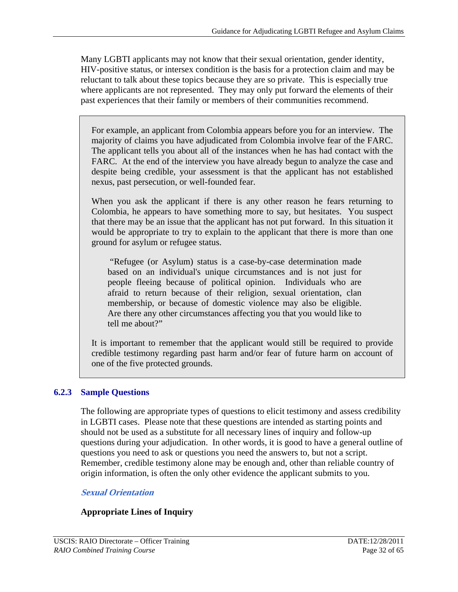Many LGBTI applicants may not know that their sexual orientation, gender identity, HIV-positive status, or intersex condition is the basis for a protection claim and may be reluctant to talk about these topics because they are so private. This is especially true where applicants are not represented. They may only put forward the elements of their past experiences that their family or members of their communities recommend.

For example, an applicant from Colombia appears before you for an interview. The majority of claims you have adjudicated from Colombia involve fear of the FARC. The applicant tells you about all of the instances when he has had contact with the FARC. At the end of the interview you have already begun to analyze the case and despite being credible, your assessment is that the applicant has not established nexus, past persecution, or well-founded fear.

When you ask the applicant if there is any other reason he fears returning to Colombia, he appears to have something more to say, but hesitates. You suspect that there may be an issue that the applicant has not put forward. In this situation it would be appropriate to try to explain to the applicant that there is more than one ground for asylum or refugee status.

 "Refugee (or Asylum) status is a case-by-case determination made based on an individual's unique circumstances and is not just for people fleeing because of political opinion. Individuals who are afraid to return because of their religion, sexual orientation, clan membership, or because of domestic violence may also be eligible. Are there any other circumstances affecting you that you would like to tell me about?"

It is important to remember that the applicant would still be required to provide credible testimony regarding past harm and/or fear of future harm on account of one of the five protected grounds.

## <span id="page-31-0"></span>**6.2.3 Sample Questions**

The following are appropriate types of questions to elicit testimony and assess credibility in LGBTI cases. Please note that these questions are intended as starting points and should not be used as a substitute for all necessary lines of inquiry and follow-up questions during your adjudication. In other words, it is good to have a general outline of questions you need to ask or questions you need the answers to, but not a script. Remember, credible testimony alone may be enough and, other than reliable country of origin information, is often the only other evidence the applicant submits to you.

## **Sexual Orientation**

## **Appropriate Lines of Inquiry**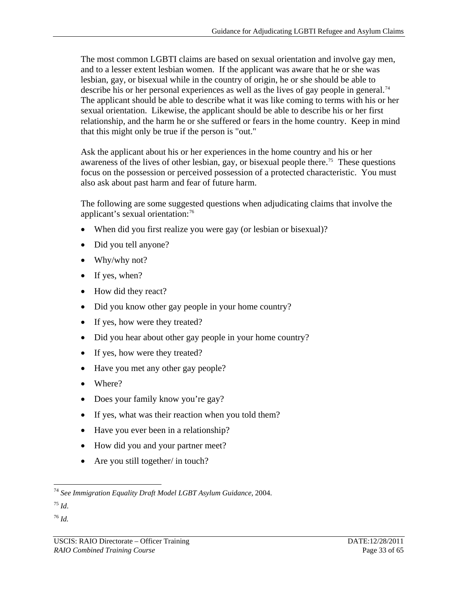The most common LGBTI claims are based on sexual orientation and involve gay men, and to a lesser extent lesbian women. If the applicant was aware that he or she was lesbian, gay, or bisexual while in the country of origin, he or she should be able to describe his or her personal experiences as well as the lives of gay people in general.<sup>[74](#page-32-0)</sup> The applicant should be able to describe what it was like coming to terms with his or her sexual orientation. Likewise, the applicant should be able to describe his or her first relationship, and the harm he or she suffered or fears in the home country. Keep in mind that this might only be true if the person is "out."

Ask the applicant about his or her experiences in the home country and his or her awareness of the lives of other lesbian, gay, or bisexual people there.<sup>[75](#page-32-1)</sup> These questions focus on the possession or perceived possession of a protected characteristic. You must also ask about past harm and fear of future harm.

The following are some suggested questions when adjudicating claims that involve the applicant's sexual orientation:<sup>[76](#page-32-2)</sup>

- When did you first realize you were gay (or lesbian or bisexual)?
- Did you tell anyone?
- Why/why not?
- $\bullet$  If yes, when?
- How did they react?
- Did you know other gay people in your home country?
- If yes, how were they treated?
- Did you hear about other gay people in your home country?
- If yes, how were they treated?
- Have you met any other gay people?
- Where?
- Does your family know you're gay?
- If yes, what was their reaction when you told them?
- Have you ever been in a relationship?
- How did you and your partner meet?
- Are you still together/ in touch?

 $\overline{a}$ <sup>74</sup> *See Immigration Equality Draft Model LGBT Asylum Guidance*, 2004.

<span id="page-32-1"></span><span id="page-32-0"></span><sup>75</sup> *Id*.

<span id="page-32-2"></span><sup>76</sup> *Id.*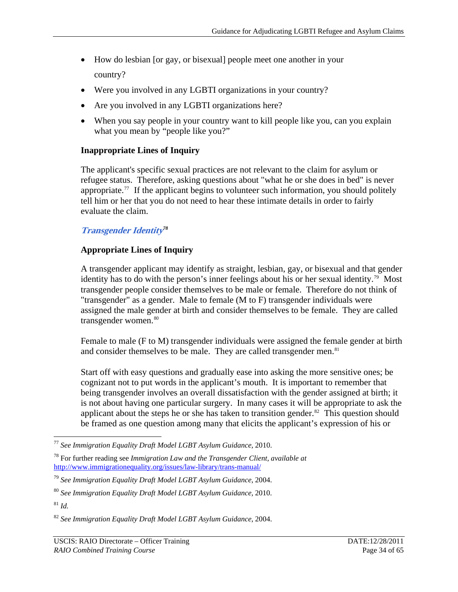- How do lesbian [or gay, or bisexual] people meet one another in your country?
- Were you involved in any LGBTI organizations in your country?
- Are you involved in any LGBTI organizations here?
- When you say people in your country want to kill people like you, can you explain what you mean by "people like you?"

#### **Inappropriate Lines of Inquiry**

The applicant's specific sexual practices are not relevant to the claim for asylum or refugee status. Therefore, asking questions about "what he or she does in bed" is never appropriate.<sup>[77](#page-33-0)</sup> If the applicant begins to volunteer such information, you should politely tell him or her that you do not need to hear these intimate details in order to fairly evaluate the claim.

## **Transgender Identity***[78](#page-33-1)*

## **Appropriate Lines of Inquiry**

A transgender applicant may identify as straight, lesbian, gay, or bisexual and that gender identity has to do with the person's inner feelings about his or her sexual identity.<sup>[79](#page-33-2)</sup> Most transgender people consider themselves to be male or female. Therefore do not think of "transgender" as a gender. Male to female (M to F) transgender individuals were assigned the male gender at birth and consider themselves to be female. They are called transgender women.<sup>[80](#page-33-3)</sup>

Female to male (F to M) transgender individuals were assigned the female gender at birth and consider themselves to be male. They are called transgender men. $81$ 

Start off with easy questions and gradually ease into asking the more sensitive ones; be cognizant not to put words in the applicant's mouth. It is important to remember that being transgender involves an overall dissatisfaction with the gender assigned at birth; it is not about having one particular surgery. In many cases it will be appropriate to ask the applicant about the steps he or she has taken to transition gender.<sup>82</sup> This question should be framed as one question among many that elicits the applicant's expression of his or

 $\overline{a}$ <sup>77</sup> *See Immigration Equality Draft Model LGBT Asylum Guidance*, 2010.

<span id="page-33-1"></span><span id="page-33-0"></span><sup>78</sup> For further reading see *Immigration Law and the Transgender Client, available at* <http://www.immigrationequality.org/issues/law-library/trans-manual/>

<span id="page-33-2"></span><sup>79</sup> *See Immigration Equality Draft Model LGBT Asylum Guidance*, 2004.

<span id="page-33-3"></span><sup>80</sup> *See Immigration Equality Draft Model LGBT Asylum Guidance*, 2010.

<span id="page-33-4"></span><sup>81</sup> *Id.*

<span id="page-33-5"></span><sup>82</sup> *See Immigration Equality Draft Model LGBT Asylum Guidance*, 2004.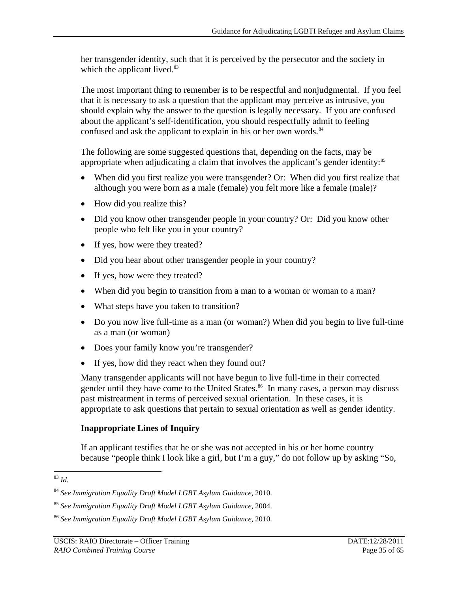her transgender identity, such that it is perceived by the persecutor and the society in which the applicant lived.<sup>83</sup>

The most important thing to remember is to be respectful and nonjudgmental. If you feel that it is necessary to ask a question that the applicant may perceive as intrusive, you should explain why the answer to the question is legally necessary. If you are confused about the applicant's self-identification, you should respectfully admit to feeling confused and ask the applicant to explain in his or her own words.<sup>[84](#page-34-1)</sup>

The following are some suggested questions that, depending on the facts, may be appropriate when adjudicating a claim that involves the applicant's gender identity:<sup>[85](#page-34-2)</sup>

- When did you first realize you were transgender? Or: When did you first realize that although you were born as a male (female) you felt more like a female (male)?
- How did you realize this?
- Did you know other transgender people in your country? Or: Did you know other people who felt like you in your country?
- If yes, how were they treated?
- Did you hear about other transgender people in your country?
- If yes, how were they treated?
- When did you begin to transition from a man to a woman or woman to a man?
- What steps have you taken to transition?
- Do you now live full-time as a man (or woman?) When did you begin to live full-time as a man (or woman)
- Does your family know you're transgender?
- If yes, how did they react when they found out?

Many transgender applicants will not have begun to live full-time in their corrected gender until they have come to the United States.<sup>[86](#page-34-3)</sup> In many cases, a person may discuss past mistreatment in terms of perceived sexual orientation. In these cases, it is appropriate to ask questions that pertain to sexual orientation as well as gender identity.

## **Inappropriate Lines of Inquiry**

If an applicant testifies that he or she was not accepted in his or her home country because "people think I look like a girl, but I'm a guy," do not follow up by asking "So,

 $\overline{a}$ <sup>83</sup> *Id.*

<span id="page-34-1"></span><span id="page-34-0"></span><sup>84</sup> *See Immigration Equality Draft Model LGBT Asylum Guidance*, 2010.

<span id="page-34-2"></span><sup>85</sup> *See Immigration Equality Draft Model LGBT Asylum Guidance*, 2004.

<span id="page-34-3"></span><sup>86</sup> *See Immigration Equality Draft Model LGBT Asylum Guidance*, 2010.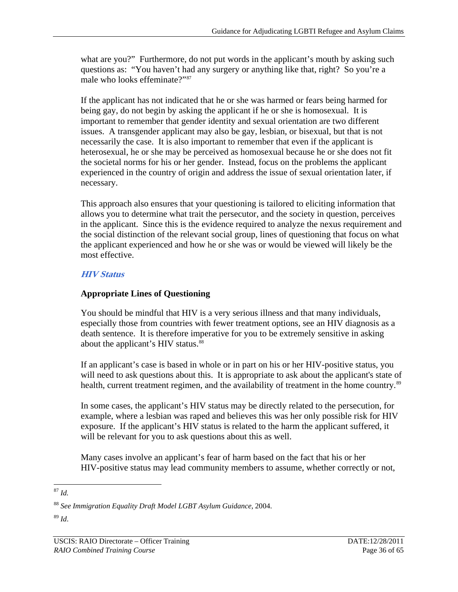what are you?" Furthermore, do not put words in the applicant's mouth by asking such questions as: "You haven't had any surgery or anything like that, right? So you're a male who looks effeminate?"<sup>87</sup>

If the applicant has not indicated that he or she was harmed or fears being harmed for being gay, do not begin by asking the applicant if he or she is homosexual. It is important to remember that gender identity and sexual orientation are two different issues. A transgender applicant may also be gay, lesbian, or bisexual, but that is not necessarily the case. It is also important to remember that even if the applicant is heterosexual, he or she may be perceived as homosexual because he or she does not fit the societal norms for his or her gender. Instead, focus on the problems the applicant experienced in the country of origin and address the issue of sexual orientation later, if necessary.

This approach also ensures that your questioning is tailored to eliciting information that allows you to determine what trait the persecutor, and the society in question, perceives in the applicant. Since this is the evidence required to analyze the nexus requirement and the social distinction of the relevant social group, lines of questioning that focus on what the applicant experienced and how he or she was or would be viewed will likely be the most effective.

## **HIV Status**

## **Appropriate Lines of Questioning**

You should be mindful that HIV is a very serious illness and that many individuals, especially those from countries with fewer treatment options, see an HIV diagnosis as a death sentence. It is therefore imperative for you to be extremely sensitive in asking about the applicant's HIV status.<sup>[88](#page-35-1)</sup>

If an applicant's case is based in whole or in part on his or her HIV-positive status, you will need to ask questions about this. It is appropriate to ask about the applicant's state of health, current treatment regimen, and the availability of treatment in the home country.<sup>[89](#page-35-2)</sup>

In some cases, the applicant's HIV status may be directly related to the persecution, for example, where a lesbian was raped and believes this was her only possible risk for HIV exposure. If the applicant's HIV status is related to the harm the applicant suffered, it will be relevant for you to ask questions about this as well.

Many cases involve an applicant's fear of harm based on the fact that his or her HIV-positive status may lead community members to assume, whether correctly or not,

<span id="page-35-2"></span><sup>89</sup> *Id*.

 $\overline{a}$ <sup>87</sup> *Id.*

<span id="page-35-1"></span><span id="page-35-0"></span><sup>88</sup> *See Immigration Equality Draft Model LGBT Asylum Guidance*, 2004.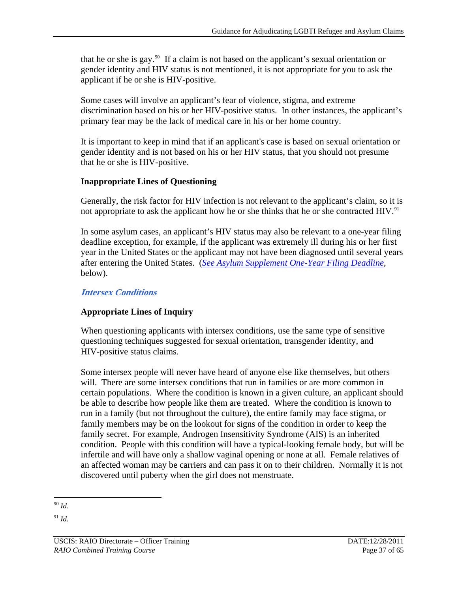that he or she is gay.[90](#page-36-0) If a claim is not based on the applicant's sexual orientation or gender identity and HIV status is not mentioned, it is not appropriate for you to ask the applicant if he or she is HIV-positive.

Some cases will involve an applicant's fear of violence, stigma, and extreme discrimination based on his or her HIV-positive status. In other instances, the applicant's primary fear may be the lack of medical care in his or her home country.

It is important to keep in mind that if an applicant's case is based on sexual orientation or gender identity and is not based on his or her HIV status, that you should not presume that he or she is HIV-positive.

#### **Inappropriate Lines of Questioning**

Generally, the risk factor for HIV infection is not relevant to the applicant's claim, so it is not appropriate to ask the applicant how he or she thinks that he or she contracted HIV.<sup>[91](#page-36-1)</sup>

In some asylum cases, an applicant's HIV status may also be relevant to a one-year filing deadline exception, for example, if the applicant was extremely ill during his or her first year in the United States or the applicant may not have been diagnosed until several years after entering the United States. (*[See Asylum Supplement One-Year Filing Deadline](#page-61-0)*, below).

#### **Intersex Conditions**

## **Appropriate Lines of Inquiry**

When questioning applicants with intersex conditions, use the same type of sensitive questioning techniques suggested for sexual orientation, transgender identity, and HIV-positive status claims.

Some intersex people will never have heard of anyone else like themselves, but others will. There are some intersex conditions that run in families or are more common in certain populations. Where the condition is known in a given culture, an applicant should be able to describe how people like them are treated. Where the condition is known to run in a family (but not throughout the culture), the entire family may face stigma, or family members may be on the lookout for signs of the condition in order to keep the family secret. For example, Androgen Insensitivity Syndrome (AIS) is an inherited condition. People with this condition will have a typical-looking female body, but will be infertile and will have only a shallow vaginal opening or none at all. Female relatives of an affected woman may be carriers and can pass it on to their children. Normally it is not discovered until puberty when the girl does not menstruate.

<sup>1</sup> <sup>90</sup> *Id*.

<span id="page-36-1"></span><span id="page-36-0"></span> $91$  *Id.*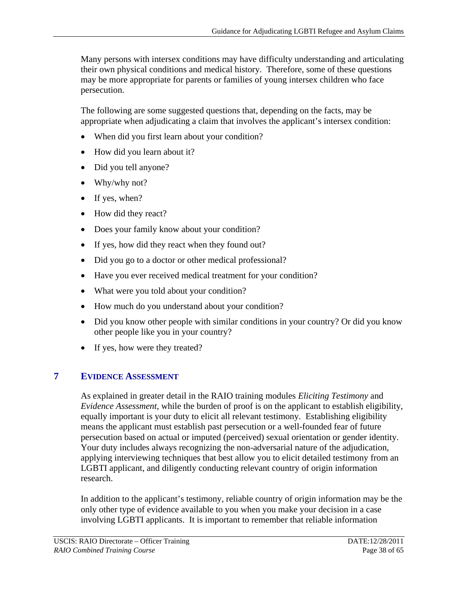Many persons with intersex conditions may have difficulty understanding and articulating their own physical conditions and medical history. Therefore, some of these questions may be more appropriate for parents or families of young intersex children who face persecution.

The following are some suggested questions that, depending on the facts, may be appropriate when adjudicating a claim that involves the applicant's intersex condition:

- When did you first learn about your condition?
- How did you learn about it?
- Did you tell anyone?
- Why/why not?
- $\bullet$  If yes, when?
- How did they react?
- Does your family know about your condition?
- If yes, how did they react when they found out?
- Did you go to a doctor or other medical professional?
- Have you ever received medical treatment for your condition?
- What were you told about your condition?
- How much do you understand about your condition?
- Did you know other people with similar conditions in your country? Or did you know other people like you in your country?
- If yes, how were they treated?

## <span id="page-37-0"></span>**7 EVIDENCE ASSESSMENT**

As explained in greater detail in the RAIO training modules *Eliciting Testimony* and *Evidence Assessment,* while the burden of proof is on the applicant to establish eligibility, equally important is your duty to elicit all relevant testimony. Establishing eligibility means the applicant must establish past persecution or a well-founded fear of future persecution based on actual or imputed (perceived) sexual orientation or gender identity. Your duty includes always recognizing the non-adversarial nature of the adjudication, applying interviewing techniques that best allow you to elicit detailed testimony from an LGBTI applicant, and diligently conducting relevant country of origin information research.

In addition to the applicant's testimony, reliable country of origin information may be the only other type of evidence available to you when you make your decision in a case involving LGBTI applicants. It is important to remember that reliable information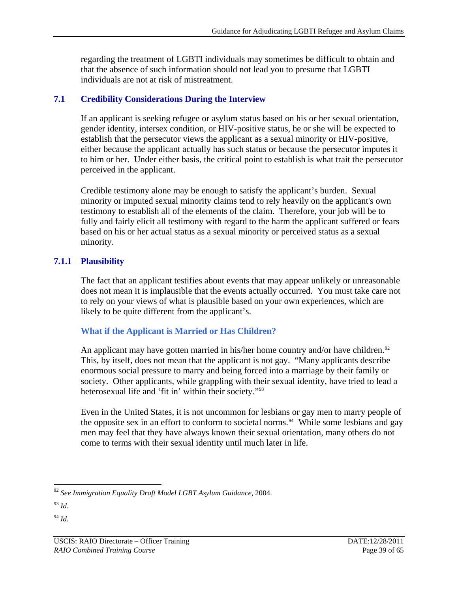regarding the treatment of LGBTI individuals may sometimes be difficult to obtain and that the absence of such information should not lead you to presume that LGBTI individuals are not at risk of mistreatment.

#### <span id="page-38-0"></span>**7.1 Credibility Considerations During the Interview**

If an applicant is seeking refugee or asylum status based on his or her sexual orientation, gender identity, intersex condition, or HIV-positive status, he or she will be expected to establish that the persecutor views the applicant as a sexual minority or HIV-positive, either because the applicant actually has such status or because the persecutor imputes it to him or her. Under either basis, the critical point to establish is what trait the persecutor perceived in the applicant.

Credible testimony alone may be enough to satisfy the applicant's burden. Sexual minority or imputed sexual minority claims tend to rely heavily on the applicant's own testimony to establish all of the elements of the claim. Therefore, your job will be to fully and fairly elicit all testimony with regard to the harm the applicant suffered or fears based on his or her actual status as a sexual minority or perceived status as a sexual minority.

## <span id="page-38-1"></span>**7.1.1 Plausibility**

The fact that an applicant testifies about events that may appear unlikely or unreasonable does not mean it is implausible that the events actually occurred. You must take care not to rely on your views of what is plausible based on your own experiences, which are likely to be quite different from the applicant's.

## **What if the Applicant is Married or Has Children?**

An applicant may have gotten married in his/her home country and/or have children.<sup>[92](#page-38-2)</sup> This, by itself, does not mean that the applicant is not gay. "Many applicants describe enormous social pressure to marry and being forced into a marriage by their family or society. Other applicants, while grappling with their sexual identity, have tried to lead a heterosexual life and 'fit in' within their society."<sup>93</sup>

Even in the United States, it is not uncommon for lesbians or gay men to marry people of the opposite sex in an effort to conform to societal norms. $94$  While some lesbians and gay men may feel that they have always known their sexual orientation, many others do not come to terms with their sexual identity until much later in life.

<span id="page-38-4"></span><sup>94</sup> *Id*.

 $\overline{a}$ <sup>92</sup> *See Immigration Equality Draft Model LGBT Asylum Guidance*, 2004.

<span id="page-38-3"></span><span id="page-38-2"></span><sup>93</sup> *Id.*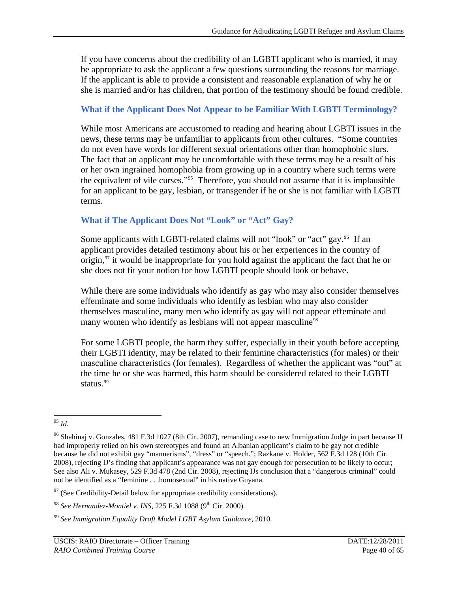If you have concerns about the credibility of an LGBTI applicant who is married, it may be appropriate to ask the applicant a few questions surrounding the reasons for marriage. If the applicant is able to provide a consistent and reasonable explanation of why he or she is married and/or has children, that portion of the testimony should be found credible.

#### **What if the Applicant Does Not Appear to be Familiar With LGBTI Terminology?**

While most Americans are accustomed to reading and hearing about LGBTI issues in the news, these terms may be unfamiliar to applicants from other cultures. "Some countries do not even have words for different sexual orientations other than homophobic slurs. The fact that an applicant may be uncomfortable with these terms may be a result of his or her own ingrained homophobia from growing up in a country where such terms were the equivalent of vile curses.["95](#page-39-0) Therefore, you should not assume that it is implausible for an applicant to be gay, lesbian, or transgender if he or she is not familiar with LGBTI terms.

## **What if The Applicant Does Not "Look" or "Act" Gay?**

Some applicants with LGBTI-related claims will not "look" or "act" gay.<sup>[96](#page-39-1)</sup> If an applicant provides detailed testimony about his or her experiences in the country of origin, $97$  it would be inappropriate for you hold against the applicant the fact that he or she does not fit your notion for how LGBTI people should look or behave.

While there are some individuals who identify as gay who may also consider themselves effeminate and some individuals who identify as lesbian who may also consider themselves masculine, many men who identify as gay will not appear effeminate and many women who identify as lesbians will not appear masculine<sup>[98](#page-39-3)</sup>

For some LGBTI people, the harm they suffer, especially in their youth before accepting their LGBTI identity, may be related to their feminine characteristics (for males) or their masculine characteristics (for females). Regardless of whether the applicant was "out" at the time he or she was harmed, this harm should be considered related to their LGBTI status.<sup>[99](#page-39-4)</sup>

<span id="page-39-0"></span> $\overline{a}$ <sup>95</sup> *Id.* 

<span id="page-39-1"></span><sup>&</sup>lt;sup>96</sup> Shahinaj v. Gonzales, 481 F.3d 1027 (8th Cir. 2007), remanding case to new Immigration Judge in part because IJ had improperly relied on his own stereotypes and found an Albanian applicant's claim to be gay not credible because he did not exhibit gay "mannerisms", "dress" or "speech."; Razkane v. Holder, 562 F.3d 128 (10th Cir. 2008), rejecting IJ's finding that applicant's appearance was not gay enough for persecution to be likely to occur; See also Ali v. Mukasey, 529 F.3d 478 (2nd Cir. 2008), rejecting IJs conclusion that a "dangerous criminal" could not be identified as a "feminine . . .homosexual" in his native Guyana.

<span id="page-39-2"></span> $97$  (See Credibility-Detail below for appropriate credibility considerations).

<span id="page-39-3"></span><sup>&</sup>lt;sup>98</sup> See Hernandez-Montiel v. INS, 225 F.3d 1088 (9<sup>th</sup> Cir. 2000).

<span id="page-39-4"></span><sup>99</sup> *See Immigration Equality Draft Model LGBT Asylum Guidance*, 2010.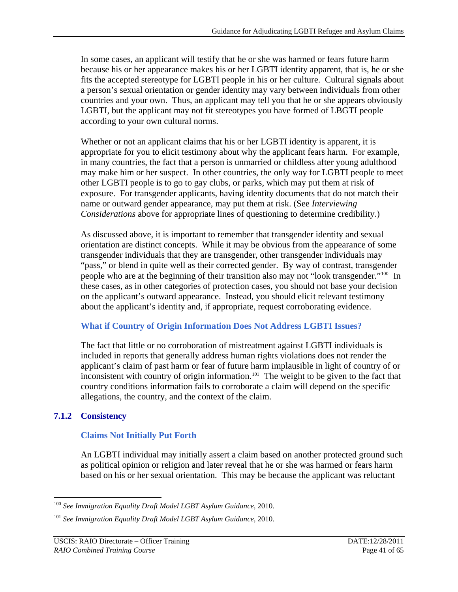In some cases, an applicant will testify that he or she was harmed or fears future harm because his or her appearance makes his or her LGBTI identity apparent, that is, he or she fits the accepted stereotype for LGBTI people in his or her culture. Cultural signals about a person's sexual orientation or gender identity may vary between individuals from other countries and your own. Thus, an applicant may tell you that he or she appears obviously LGBTI, but the applicant may not fit stereotypes you have formed of LBGTI people according to your own cultural norms.

Whether or not an applicant claims that his or her LGBTI identity is apparent, it is appropriate for you to elicit testimony about why the applicant fears harm. For example, in many countries, the fact that a person is unmarried or childless after young adulthood may make him or her suspect. In other countries, the only way for LGBTI people to meet other LGBTI people is to go to gay clubs, or parks, which may put them at risk of exposure. For transgender applicants, having identity documents that do not match their name or outward gender appearance, may put them at risk. (See *Interviewing Considerations* above for appropriate lines of questioning to determine credibility.)

As discussed above, it is important to remember that transgender identity and sexual orientation are distinct concepts. While it may be obvious from the appearance of some transgender individuals that they are transgender, other transgender individuals may "pass," or blend in quite well as their corrected gender. By way of contrast, transgender people who are at the beginning of their transition also may not "look transgender."[100](#page-40-1) In these cases, as in other categories of protection cases, you should not base your decision on the applicant's outward appearance. Instead, you should elicit relevant testimony about the applicant's identity and, if appropriate, request corroborating evidence.

## **What if Country of Origin Information Does Not Address LGBTI Issues?**

The fact that little or no corroboration of mistreatment against LGBTI individuals is included in reports that generally address human rights violations does not render the applicant's claim of past harm or fear of future harm implausible in light of country of or inconsistent with country of origin information.<sup>[101](#page-40-2)</sup> The weight to be given to the fact that country conditions information fails to corroborate a claim will depend on the specific allegations, the country, and the context of the claim.

## <span id="page-40-0"></span>**7.1.2 Consistency**

## **Claims Not Initially Put Forth**

An LGBTI individual may initially assert a claim based on another protected ground such as political opinion or religion and later reveal that he or she was harmed or fears harm based on his or her sexual orientation. This may be because the applicant was reluctant

 $\overline{a}$ <sup>100</sup> *See Immigration Equality Draft Model LGBT Asylum Guidance*, 2010.

<span id="page-40-2"></span><span id="page-40-1"></span><sup>101</sup> *See Immigration Equality Draft Model LGBT Asylum Guidance*, 2010.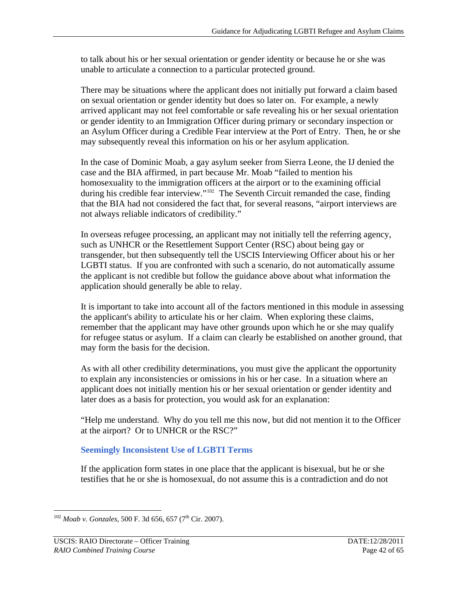to talk about his or her sexual orientation or gender identity or because he or she was unable to articulate a connection to a particular protected ground.

There may be situations where the applicant does not initially put forward a claim based on sexual orientation or gender identity but does so later on. For example, a newly arrived applicant may not feel comfortable or safe revealing his or her sexual orientation or gender identity to an Immigration Officer during primary or secondary inspection or an Asylum Officer during a Credible Fear interview at the Port of Entry. Then, he or she may subsequently reveal this information on his or her asylum application.

In the case of Dominic Moab, a gay asylum seeker from Sierra Leone, the IJ denied the case and the BIA affirmed, in part because Mr. Moab "failed to mention his homosexuality to the immigration officers at the airport or to the examining official during his credible fear interview."<sup>[102](#page-41-0)</sup> The Seventh Circuit remanded the case, finding that the BIA had not considered the fact that, for several reasons, "airport interviews are not always reliable indicators of credibility."

In overseas refugee processing, an applicant may not initially tell the referring agency, such as UNHCR or the Resettlement Support Center (RSC) about being gay or transgender, but then subsequently tell the USCIS Interviewing Officer about his or her LGBTI status. If you are confronted with such a scenario, do not automatically assume the applicant is not credible but follow the guidance above about what information the application should generally be able to relay.

It is important to take into account all of the factors mentioned in this module in assessing the applicant's ability to articulate his or her claim. When exploring these claims, remember that the applicant may have other grounds upon which he or she may qualify for refugee status or asylum. If a claim can clearly be established on another ground, that may form the basis for the decision.

As with all other credibility determinations, you must give the applicant the opportunity to explain any inconsistencies or omissions in his or her case. In a situation where an applicant does not initially mention his or her sexual orientation or gender identity and later does as a basis for protection, you would ask for an explanation:

"Help me understand. Why do you tell me this now, but did not mention it to the Officer at the airport? Or to UNHCR or the RSC?"

## **Seemingly Inconsistent Use of LGBTI Terms**

If the application form states in one place that the applicant is bisexual, but he or she testifies that he or she is homosexual, do not assume this is a contradiction and do not

<span id="page-41-0"></span> $\overline{a}$ <sup>102</sup> Moab v. Gonzales, 500 F. 3d 656, 657 (7<sup>th</sup> Cir. 2007).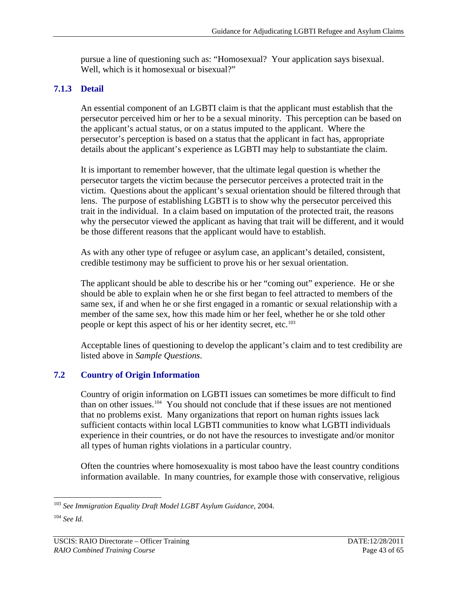pursue a line of questioning such as: "Homosexual? Your application says bisexual. Well, which is it homosexual or bisexual?"

## <span id="page-42-0"></span>**7.1.3 Detail**

An essential component of an LGBTI claim is that the applicant must establish that the persecutor perceived him or her to be a sexual minority. This perception can be based on the applicant's actual status, or on a status imputed to the applicant. Where the persecutor's perception is based on a status that the applicant in fact has, appropriate details about the applicant's experience as LGBTI may help to substantiate the claim.

It is important to remember however, that the ultimate legal question is whether the persecutor targets the victim because the persecutor perceives a protected trait in the victim. Questions about the applicant's sexual orientation should be filtered through that lens. The purpose of establishing LGBTI is to show why the persecutor perceived this trait in the individual. In a claim based on imputation of the protected trait, the reasons why the persecutor viewed the applicant as having that trait will be different, and it would be those different reasons that the applicant would have to establish.

As with any other type of refugee or asylum case, an applicant's detailed, consistent, credible testimony may be sufficient to prove his or her sexual orientation.

The applicant should be able to describe his or her "coming out" experience. He or she should be able to explain when he or she first began to feel attracted to members of the same sex, if and when he or she first engaged in a romantic or sexual relationship with a member of the same sex, how this made him or her feel, whether he or she told other people or kept this aspect of his or her identity secret, etc.<sup>[103](#page-42-2)</sup>

Acceptable lines of questioning to develop the applicant's claim and to test credibility are listed above in *Sample Questions*.

## <span id="page-42-1"></span>**7.2 Country of Origin Information**

Country of origin information on LGBTI issues can sometimes be more difficult to find than on other issues.[104](#page-42-3) You should not conclude that if these issues are not mentioned that no problems exist. Many organizations that report on human rights issues lack sufficient contacts within local LGBTI communities to know what LGBTI individuals experience in their countries, or do not have the resources to investigate and/or monitor all types of human rights violations in a particular country.

Often the countries where homosexuality is most taboo have the least country conditions information available. In many countries, for example those with conservative, religious

<span id="page-42-2"></span> $\overline{a}$ <sup>103</sup> *See Immigration Equality Draft Model LGBT Asylum Guidance*, 2004.

<span id="page-42-3"></span><sup>104</sup> *See Id*.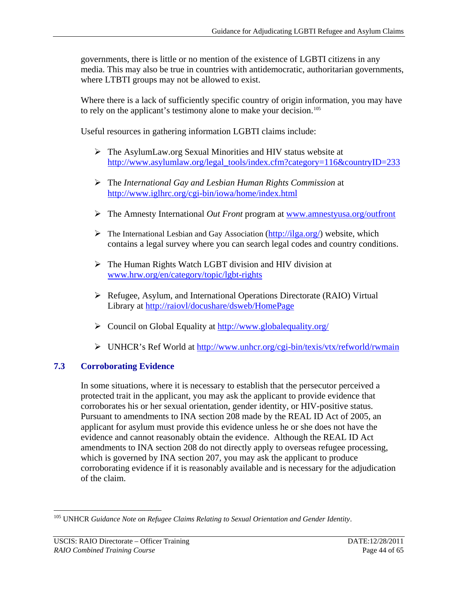governments, there is little or no mention of the existence of LGBTI citizens in any media. This may also be true in countries with antidemocratic, authoritarian governments, where LTBTI groups may not be allowed to exist.

Where there is a lack of sufficiently specific country of origin information, you may have to rely on the applicant's testimony alone to make your decision.<sup>[105](#page-43-1)</sup>

Useful resources in gathering information LGBTI claims include:

- The AsylumLaw.org Sexual Minorities and HIV status website at [http://www.asylumlaw.org/legal\\_tools/index.cfm?category=116&countryID=233](http://www.asylumlaw.org/legal_tools/index.cfm?category=116&countryID=233)
- The *International Gay and Lesbian Human Rights Commission* at <http://www.iglhrc.org/cgi-bin/iowa/home/index.html>
- The Amnesty International *Out Front* program at [www.amnestyusa.org/outfront](http://www.amnestyusa.org/outfront)
- $\triangleright$  The International Lesbian and Gay Association ([http://ilga.org/\)](http://ilga.org/) website, which contains a legal survey where you can search legal codes and country conditions.
- $\triangleright$  The Human Rights Watch LGBT division and HIV division at [www.hrw.org/en/category/topic/lgbt-rights](http://www.hrw.org/en/category/topic/lgbt-rights)
- Refugee, Asylum, and International Operations Directorate (RAIO) Virtual Library at <http://raiovl/docushare/dsweb/HomePage>
- $\triangleright$  Council on Global Equality at<http://www.globalequality.org/>
- UNHCR's Ref World at<http://www.unhcr.org/cgi-bin/texis/vtx/refworld/rwmain>

## <span id="page-43-0"></span>**7.3 Corroborating Evidence**

In some situations, where it is necessary to establish that the persecutor perceived a protected trait in the applicant, you may ask the applicant to provide evidence that corroborates his or her sexual orientation, gender identity, or HIV-positive status. Pursuant to amendments to INA section 208 made by the REAL ID Act of 2005, an applicant for asylum must provide this evidence unless he or she does not have the evidence and cannot reasonably obtain the evidence. Although the REAL ID Act amendments to INA section 208 do not directly apply to overseas refugee processing, which is governed by INA section 207, you may ask the applicant to produce corroborating evidence if it is reasonably available and is necessary for the adjudication of the claim.

<span id="page-43-1"></span> $\overline{a}$ 105 UNHCR *Guidance Note on Refugee Claims Relating to Sexual Orientation and Gender Identity*.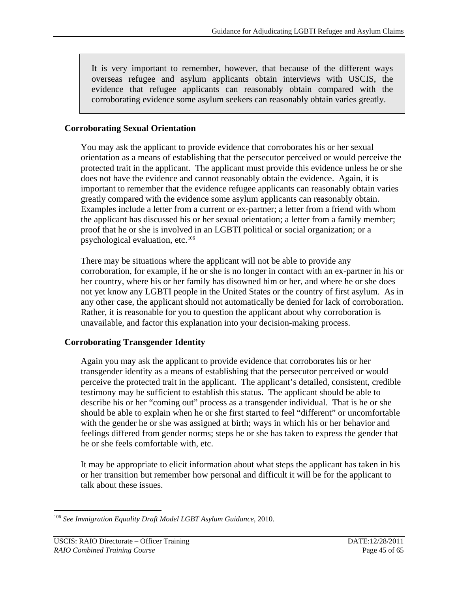It is very important to remember, however, that because of the different ways overseas refugee and asylum applicants obtain interviews with USCIS, the evidence that refugee applicants can reasonably obtain compared with the corroborating evidence some asylum seekers can reasonably obtain varies greatly.

#### **Corroborating Sexual Orientation**

You may ask the applicant to provide evidence that corroborates his or her sexual orientation as a means of establishing that the persecutor perceived or would perceive the protected trait in the applicant. The applicant must provide this evidence unless he or she does not have the evidence and cannot reasonably obtain the evidence. Again, it is important to remember that the evidence refugee applicants can reasonably obtain varies greatly compared with the evidence some asylum applicants can reasonably obtain. Examples include a letter from a current or ex-partner; a letter from a friend with whom the applicant has discussed his or her sexual orientation; a letter from a family member; proof that he or she is involved in an LGBTI political or social organization; or a psychological evaluation, etc.[106](#page-44-0)

There may be situations where the applicant will not be able to provide any corroboration, for example, if he or she is no longer in contact with an ex-partner in his or her country, where his or her family has disowned him or her, and where he or she does not yet know any LGBTI people in the United States or the country of first asylum. As in any other case, the applicant should not automatically be denied for lack of corroboration. Rather, it is reasonable for you to question the applicant about why corroboration is unavailable, and factor this explanation into your decision-making process.

#### **Corroborating Transgender Identity**

Again you may ask the applicant to provide evidence that corroborates his or her transgender identity as a means of establishing that the persecutor perceived or would perceive the protected trait in the applicant. The applicant's detailed, consistent, credible testimony may be sufficient to establish this status. The applicant should be able to describe his or her "coming out" process as a transgender individual. That is he or she should be able to explain when he or she first started to feel "different" or uncomfortable with the gender he or she was assigned at birth; ways in which his or her behavior and feelings differed from gender norms; steps he or she has taken to express the gender that he or she feels comfortable with, etc.

It may be appropriate to elicit information about what steps the applicant has taken in his or her transition but remember how personal and difficult it will be for the applicant to talk about these issues.

<span id="page-44-0"></span><sup>1</sup> <sup>106</sup> *See Immigration Equality Draft Model LGBT Asylum Guidance*, 2010.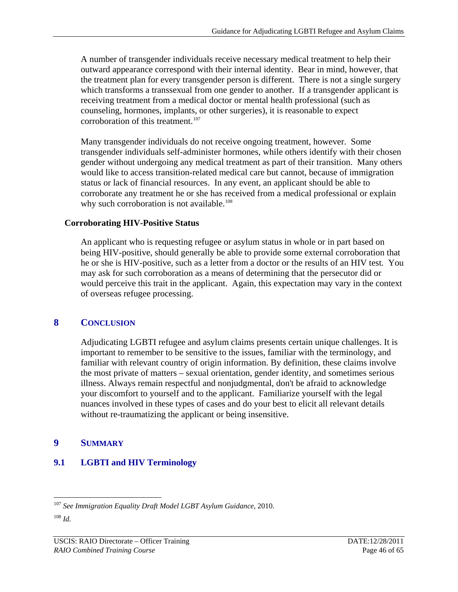A number of transgender individuals receive necessary medical treatment to help their outward appearance correspond with their internal identity. Bear in mind, however, that the treatment plan for every transgender person is different. There is not a single surgery which transforms a transsexual from one gender to another. If a transgender applicant is receiving treatment from a medical doctor or mental health professional (such as counseling, hormones, implants, or other surgeries), it is reasonable to expect corroboration of this treatment.<sup>[107](#page-45-3)</sup>

Many transgender individuals do not receive ongoing treatment, however. Some transgender individuals self-administer hormones, while others identify with their chosen gender without undergoing any medical treatment as part of their transition. Many others would like to access transition-related medical care but cannot, because of immigration status or lack of financial resources. In any event, an applicant should be able to corroborate any treatment he or she has received from a medical professional or explain why such corroboration is not available.<sup>[108](#page-45-4)</sup>

#### **Corroborating HIV-Positive Status**

An applicant who is requesting refugee or asylum status in whole or in part based on being HIV-positive, should generally be able to provide some external corroboration that he or she is HIV-positive, such as a letter from a doctor or the results of an HIV test*.* You may ask for such corroboration as a means of determining that the persecutor did or would perceive this trait in the applicant. Again, this expectation may vary in the context of overseas refugee processing.

## <span id="page-45-0"></span>**8 CONCLUSION**

Adjudicating LGBTI refugee and asylum claims presents certain unique challenges. It is important to remember to be sensitive to the issues, familiar with the terminology, and familiar with relevant country of origin information. By definition, these claims involve the most private of matters – sexual orientation, gender identity, and sometimes serious illness. Always remain respectful and nonjudgmental, don't be afraid to acknowledge your discomfort to yourself and to the applicant. Familiarize yourself with the legal nuances involved in these types of cases and do your best to elicit all relevant details without re-traumatizing the applicant or being insensitive.

## <span id="page-45-1"></span>**9 SUMMARY**

## <span id="page-45-2"></span>**9.1 LGBTI and HIV Terminology**

 $\overline{a}$ <sup>107</sup> *See Immigration Equality Draft Model LGBT Asylum Guidance*, 2010.

<span id="page-45-4"></span><span id="page-45-3"></span><sup>108</sup> *Id.*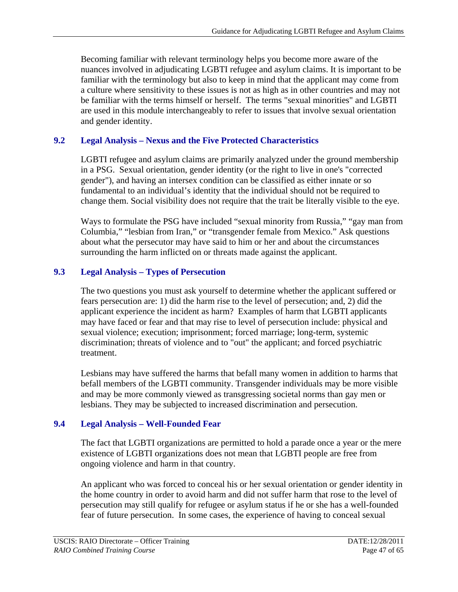Becoming familiar with relevant terminology helps you become more aware of the nuances involved in adjudicating LGBTI refugee and asylum claims. It is important to be familiar with the terminology but also to keep in mind that the applicant may come from a culture where sensitivity to these issues is not as high as in other countries and may not be familiar with the terms himself or herself. The terms "sexual minorities" and LGBTI are used in this module interchangeably to refer to issues that involve sexual orientation and gender identity.

## <span id="page-46-0"></span>**9.2 Legal Analysis – Nexus and the Five Protected Characteristics**

LGBTI refugee and asylum claims are primarily analyzed under the ground membership in a PSG. Sexual orientation, gender identity (or the right to live in one's "corrected gender"), and having an intersex condition can be classified as either innate or so fundamental to an individual's identity that the individual should not be required to change them. Social visibility does not require that the trait be literally visible to the eye.

Ways to formulate the PSG have included "sexual minority from Russia," "gay man from Columbia," "lesbian from Iran," or "transgender female from Mexico." Ask questions about what the persecutor may have said to him or her and about the circumstances surrounding the harm inflicted on or threats made against the applicant.

## <span id="page-46-1"></span>**9.3 Legal Analysis – Types of Persecution**

The two questions you must ask yourself to determine whether the applicant suffered or fears persecution are: 1) did the harm rise to the level of persecution; and, 2) did the applicant experience the incident as harm? Examples of harm that LGBTI applicants may have faced or fear and that may rise to level of persecution include: physical and sexual violence; execution; imprisonment; forced marriage; long-term, systemic discrimination; threats of violence and to "out" the applicant; and forced psychiatric treatment.

Lesbians may have suffered the harms that befall many women in addition to harms that befall members of the LGBTI community. Transgender individuals may be more visible and may be more commonly viewed as transgressing societal norms than gay men or lesbians. They may be subjected to increased discrimination and persecution.

## <span id="page-46-2"></span>**9.4 Legal Analysis – Well-Founded Fear**

The fact that LGBTI organizations are permitted to hold a parade once a year or the mere existence of LGBTI organizations does not mean that LGBTI people are free from ongoing violence and harm in that country.

An applicant who was forced to conceal his or her sexual orientation or gender identity in the home country in order to avoid harm and did not suffer harm that rose to the level of persecution may still qualify for refugee or asylum status if he or she has a well-founded fear of future persecution. In some cases, the experience of having to conceal sexual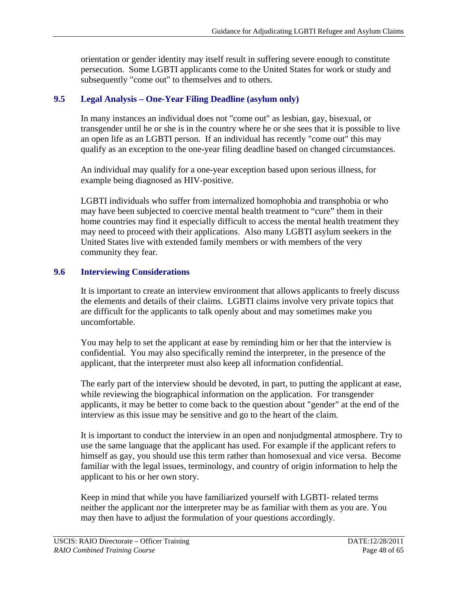orientation or gender identity may itself result in suffering severe enough to constitute persecution. Some LGBTI applicants come to the United States for work or study and subsequently "come out" to themselves and to others.

#### <span id="page-47-0"></span>**9.5 Legal Analysis – One-Year Filing Deadline (asylum only)**

In many instances an individual does not "come out" as lesbian, gay, bisexual, or transgender until he or she is in the country where he or she sees that it is possible to live an open life as an LGBTI person. If an individual has recently "come out" this may qualify as an exception to the one-year filing deadline based on changed circumstances.

An individual may qualify for a one-year exception based upon serious illness, for example being diagnosed as HIV-positive.

LGBTI individuals who suffer from internalized homophobia and transphobia or who may have been subjected to coercive mental health treatment to "cure" them in their home countries may find it especially difficult to access the mental health treatment they may need to proceed with their applications. Also many LGBTI asylum seekers in the United States live with extended family members or with members of the very community they fear.

#### <span id="page-47-1"></span>**9.6 Interviewing Considerations**

It is important to create an interview environment that allows applicants to freely discuss the elements and details of their claims. LGBTI claims involve very private topics that are difficult for the applicants to talk openly about and may sometimes make you uncomfortable.

You may help to set the applicant at ease by reminding him or her that the interview is confidential. You may also specifically remind the interpreter, in the presence of the applicant, that the interpreter must also keep all information confidential.

The early part of the interview should be devoted, in part, to putting the applicant at ease, while reviewing the biographical information on the application. For transgender applicants, it may be better to come back to the question about "gender" at the end of the interview as this issue may be sensitive and go to the heart of the claim.

It is important to conduct the interview in an open and nonjudgmental atmosphere. Try to use the same language that the applicant has used. For example if the applicant refers to himself as gay, you should use this term rather than homosexual and vice versa. Become familiar with the legal issues, terminology, and country of origin information to help the applicant to his or her own story.

Keep in mind that while you have familiarized yourself with LGBTI- related terms neither the applicant nor the interpreter may be as familiar with them as you are. You may then have to adjust the formulation of your questions accordingly.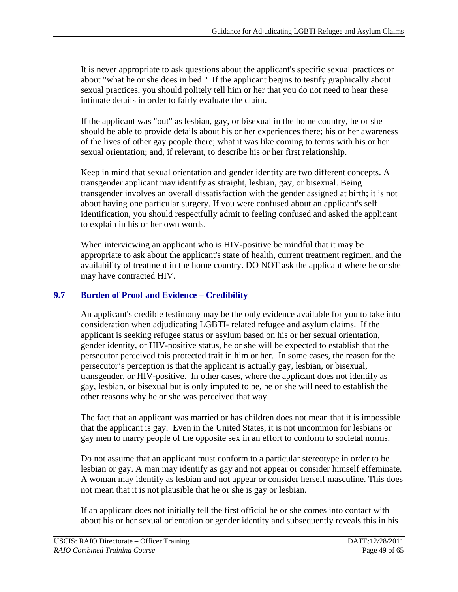It is never appropriate to ask questions about the applicant's specific sexual practices or about "what he or she does in bed." If the applicant begins to testify graphically about sexual practices, you should politely tell him or her that you do not need to hear these intimate details in order to fairly evaluate the claim.

If the applicant was "out" as lesbian, gay, or bisexual in the home country, he or she should be able to provide details about his or her experiences there; his or her awareness of the lives of other gay people there; what it was like coming to terms with his or her sexual orientation; and, if relevant, to describe his or her first relationship.

Keep in mind that sexual orientation and gender identity are two different concepts. A transgender applicant may identify as straight, lesbian, gay, or bisexual. Being transgender involves an overall dissatisfaction with the gender assigned at birth; it is not about having one particular surgery. If you were confused about an applicant's self identification, you should respectfully admit to feeling confused and asked the applicant to explain in his or her own words.

When interviewing an applicant who is HIV-positive be mindful that it may be appropriate to ask about the applicant's state of health, current treatment regimen, and the availability of treatment in the home country. DO NOT ask the applicant where he or she may have contracted HIV.

#### <span id="page-48-0"></span>**9.7 Burden of Proof and Evidence – Credibility**

An applicant's credible testimony may be the only evidence available for you to take into consideration when adjudicating LGBTI- related refugee and asylum claims. If the applicant is seeking refugee status or asylum based on his or her sexual orientation, gender identity, or HIV-positive status, he or she will be expected to establish that the persecutor perceived this protected trait in him or her. In some cases, the reason for the persecutor's perception is that the applicant is actually gay, lesbian, or bisexual, transgender, or HIV-positive. In other cases, where the applicant does not identify as gay, lesbian, or bisexual but is only imputed to be, he or she will need to establish the other reasons why he or she was perceived that way.

The fact that an applicant was married or has children does not mean that it is impossible that the applicant is gay. Even in the United States, it is not uncommon for lesbians or gay men to marry people of the opposite sex in an effort to conform to societal norms.

Do not assume that an applicant must conform to a particular stereotype in order to be lesbian or gay. A man may identify as gay and not appear or consider himself effeminate. A woman may identify as lesbian and not appear or consider herself masculine. This does not mean that it is not plausible that he or she is gay or lesbian.

If an applicant does not initially tell the first official he or she comes into contact with about his or her sexual orientation or gender identity and subsequently reveals this in his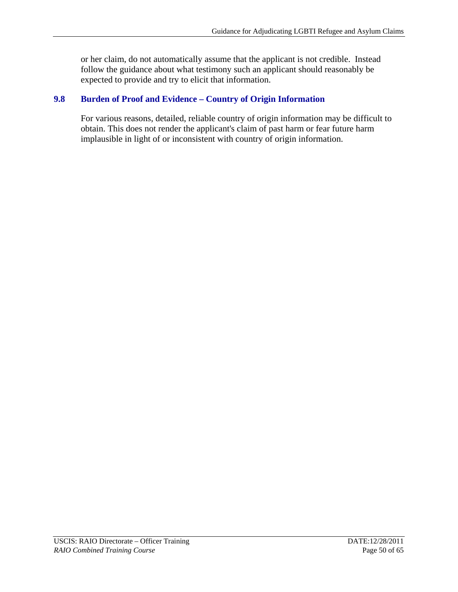or her claim, do not automatically assume that the applicant is not credible. Instead follow the guidance about what testimony such an applicant should reasonably be expected to provide and try to elicit that information.

#### <span id="page-49-0"></span>**9.8 Burden of Proof and Evidence – Country of Origin Information**

For various reasons, detailed, reliable country of origin information may be difficult to obtain. This does not render the applicant's claim of past harm or fear future harm implausible in light of or inconsistent with country of origin information.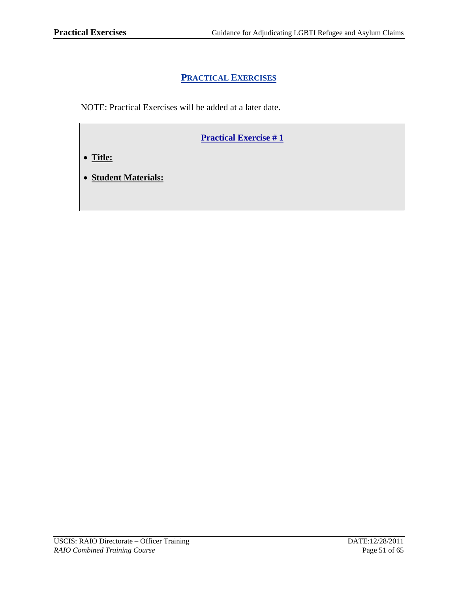## **PRACTICAL EXERCISES**

<span id="page-50-0"></span>NOTE: Practical Exercises will be added at a later date.

**Practical Exercise # 1**

• Title:

**Student Materials:**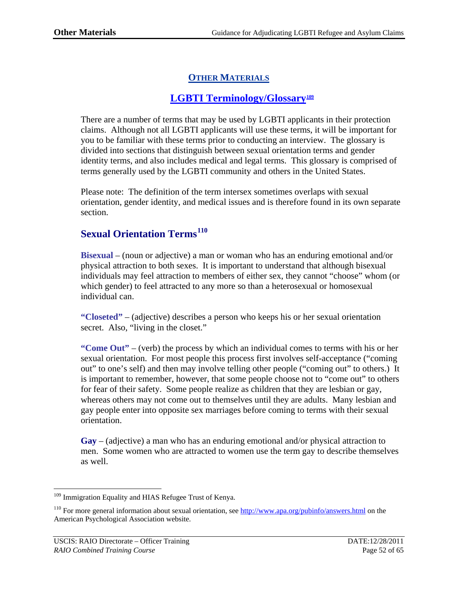## **OTHER MATERIALS**

## **[LGBTI Terminology/Glossary](#page-11-2)109**

<span id="page-51-1"></span><span id="page-51-0"></span>There are a number of terms that may be used by LGBTI applicants in their protection claims. Although not all LGBTI applicants will use these terms, it will be important for you to be familiar with these terms prior to conducting an interview. The glossary is divided into sections that distinguish between sexual orientation terms and gender identity terms, and also includes medical and legal terms. This glossary is comprised of terms generally used by the LGBTI community and others in the United States.

Please note: The definition of the term intersex sometimes overlaps with sexual orientation, gender identity, and medical issues and is therefore found in its own separate section.

## **Sexual Orientation Terms[110](#page-51-4)**

**Bisexual** – (noun or adjective) a man or woman who has an enduring emotional and/or physical attraction to both sexes. It is important to understand that although bisexual individuals may feel attraction to members of either sex, they cannot "choose" whom (or which gender) to feel attracted to any more so than a heterosexual or homosexual individual can.

<span id="page-51-3"></span>**"Closeted"** – (adjective) describes a person who keeps his or her sexual orientation secret. Also, "living in the closet."

<span id="page-51-2"></span>**"Come Out"** – (verb) the process by which an individual comes to terms with his or her sexual orientation. For most people this process first involves self-acceptance ("coming out" to one's self) and then may involve telling other people ("coming out" to others.) It is important to remember, however, that some people choose not to "come out" to others for fear of their safety. Some people realize as children that they are lesbian or gay, whereas others may not come out to themselves until they are adults. Many lesbian and gay people enter into opposite sex marriages before coming to terms with their sexual orientation.

**Gay** – (adjective) a man who has an enduring emotional and/or physical attraction to men. Some women who are attracted to women use the term gay to describe themselves as well.

<sup>&</sup>lt;sup>109</sup> Immigration Equality and HIAS Refugee Trust of Kenya.

<span id="page-51-4"></span><sup>&</sup>lt;sup>110</sup> For more general information about sexual orientation, see <http://www.apa.org/pubinfo/answers.html> on the American Psychological Association website.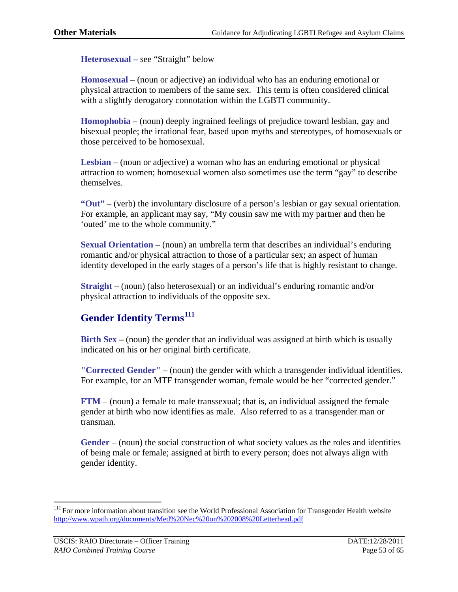**Heterosexual –** see "Straight" below

**Homosexual** – (noun or adjective) an individual who has an enduring emotional or physical attraction to members of the same sex. This term is often considered clinical with a slightly derogatory connotation within the LGBTI community.

**Homophobia** – (noun) deeply ingrained feelings of prejudice toward lesbian, gay and bisexual people; the irrational fear, based upon myths and stereotypes, of homosexuals or those perceived to be homosexual.

**Lesbian** – (noun or adjective) a woman who has an enduring emotional or physical attraction to women; homosexual women also sometimes use the term "gay" to describe themselves.

<span id="page-52-0"></span>**"Out"** – (verb) the involuntary disclosure of a person's lesbian or gay sexual orientation. For example, an applicant may say, "My cousin saw me with my partner and then he 'outed' me to the whole community."

**Sexual Orientation** – (noun) an umbrella term that describes an individual's enduring romantic and/or physical attraction to those of a particular sex; an aspect of human identity developed in the early stages of a person's life that is highly resistant to change.

**Straight** – (noun) (also heterosexual) or an individual's enduring romantic and/or physical attraction to individuals of the opposite sex.

## **Gender Identity Terms[111](#page-52-1)**

**Birth Sex –** (noun) the gender that an individual was assigned at birth which is usually indicated on his or her original birth certificate.

**"Corrected Gender"** – (noun) the gender with which a transgender individual identifies. For example, for an MTF transgender woman, female would be her "corrected gender."

**FTM** – (noun) a female to male transsexual; that is, an individual assigned the female gender at birth who now identifies as male. Also referred to as a transgender man or transman.

**Gender** – (noun) the social construction of what society values as the roles and identities of being male or female; assigned at birth to every person; does not always align with gender identity.

<span id="page-52-1"></span><sup>&</sup>lt;sup>111</sup> For more information about transition see the World Professional Association for Transgender Health website <http://www.wpath.org/documents/Med%20Nec%20on%202008%20Letterhead.pdf>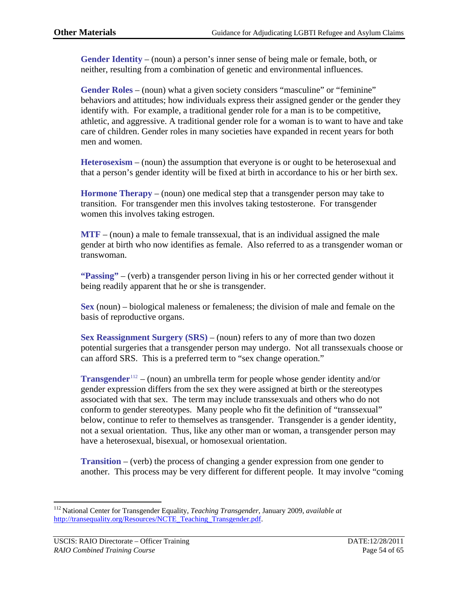**Gender Identity** – (noun) a person's inner sense of being male or female, both, or neither, resulting from a combination of genetic and environmental influences.

Gender Roles – (noun) what a given society considers "masculine" or "feminine" behaviors and attitudes; how individuals express their assigned gender or the gender they identify with. For example, a traditional gender role for a man is to be competitive, athletic, and aggressive. A traditional gender role for a woman is to want to have and take care of children. Gender roles in many societies have expanded in recent years for both men and women.

**Heterosexism** – (noun) the assumption that everyone is or ought to be heterosexual and that a person's gender identity will be fixed at birth in accordance to his or her birth sex.

**Hormone Therapy** – (noun) one medical step that a transgender person may take to transition. For transgender men this involves taking testosterone. For transgender women this involves taking estrogen.

**MTF** – (noun) a male to female transsexual, that is an individual assigned the male gender at birth who now identifies as female. Also referred to as a transgender woman or transwoman.

**"Passing"** – (verb) a transgender person living in his or her corrected gender without it being readily apparent that he or she is transgender.

**Sex** (noun) – biological maleness or femaleness; the division of male and female on the basis of reproductive organs.

**Sex Reassignment Surgery (SRS)** – (noun) refers to any of more than two dozen potential surgeries that a transgender person may undergo. Not all transsexuals choose or can afford SRS. This is a preferred term to "sex change operation."

**Transgender**<sup>[112](#page-53-1)</sup> – (noun) an umbrella term for people whose gender identity and/or gender expression differs from the sex they were assigned at birth or the stereotypes associated with that sex. The term may include transsexuals and others who do not conform to gender stereotypes. Many people who fit the definition of "transsexual" below, continue to refer to themselves as transgender. Transgender is a gender identity, not a sexual orientation. Thus, like any other man or woman, a transgender person may have a heterosexual, bisexual, or homosexual orientation.

**Transition** – (verb) the process of changing a gender expression from one gender to another. This process may be very different for different people. It may involve "coming

<span id="page-53-1"></span><span id="page-53-0"></span><sup>112</sup> National Center for Transgender Equality, *Teaching Transgender*, January 2009, *available at* [http://transequality.org/Resources/NCTE\\_Teaching\\_Transgender.pdf](http://transequality.org/Resources/NCTE_Teaching_Transgender.pdf).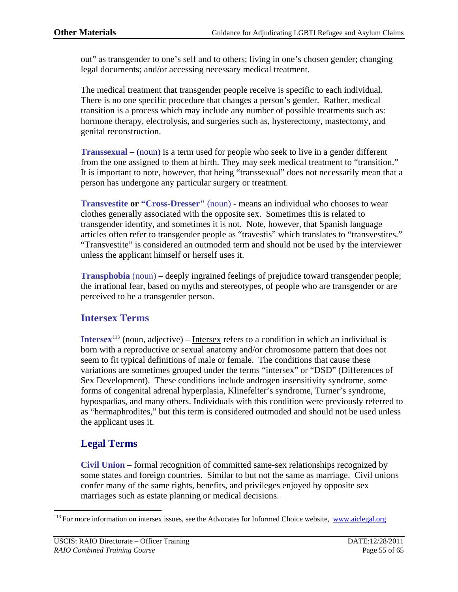out" as transgender to one's self and to others; living in one's chosen gender; changing legal documents; and/or accessing necessary medical treatment.

The medical treatment that transgender people receive is specific to each individual. There is no one specific procedure that changes a person's gender. Rather, medical transition is a process which may include any number of possible treatments such as: hormone therapy, electrolysis, and surgeries such as, hysterectomy, mastectomy, and genital reconstruction.

**Transsexual** – (noun) is a term used for people who seek to live in a gender different from the one assigned to them at birth. They may seek medical treatment to "transition." It is important to note, however, that being "transsexual" does not necessarily mean that a person has undergone any particular surgery or treatment.

**Transvestite or "Cross-Dresser"** (noun) - means an individual who chooses to wear clothes generally associated with the opposite sex. Sometimes this is related to transgender identity, and sometimes it is not. Note, however, that Spanish language articles often refer to transgender people as "travestis" which translates to "transvestites." "Transvestite" is considered an outmoded term and should not be used by the interviewer unless the applicant himself or herself uses it.

**Transphobia** (noun) – deeply ingrained feelings of prejudice toward transgender people; the irrational fear, based on myths and stereotypes, of people who are transgender or are perceived to be a transgender person.

## **Intersex Terms**

**Intersex**<sup>[113](#page-54-0)</sup> (noun, adjective) – Intersex refers to a condition in which an individual is born with a reproductive or sexual anatomy and/or chromosome pattern that does not seem to fit typical definitions of male or female. The conditions that cause these variations are sometimes grouped under the terms "intersex" or "DSD" (Differences of Sex Development). These conditions include androgen insensitivity syndrome, some forms of congenital adrenal hyperplasia, Klinefelter's syndrome, Turner's syndrome, hypospadias, and many others. Individuals with this condition were previously referred to as "hermaphrodites," but this term is considered outmoded and should not be used unless the applicant uses it.

## **Legal Terms**

 $\overline{a}$ 

**Civil Union** – formal recognition of committed same-sex relationships recognized by some states and foreign countries. Similar to but not the same as marriage. Civil unions confer many of the same rights, benefits, and privileges enjoyed by opposite sex marriages such as estate planning or medical decisions.

<span id="page-54-0"></span><sup>&</sup>lt;sup>113</sup> For more information on intersex issues, see the Advocates for Informed Choice website, [www.aiclegal.org](http://www.aiclegal.org/)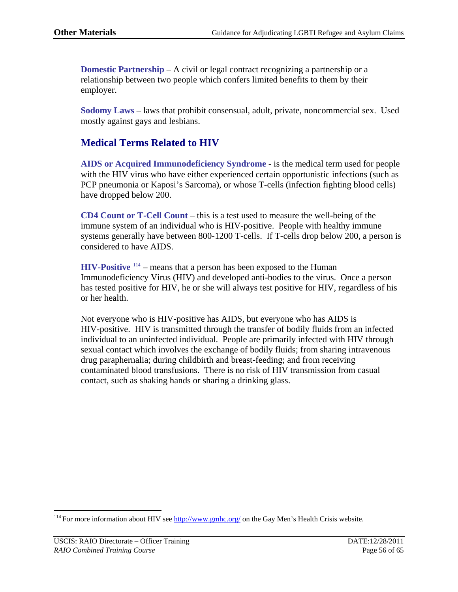**Domestic Partnership** – A civil or legal contract recognizing a partnership or a relationship between two people which confers limited benefits to them by their employer.

**Sodomy Laws** – laws that prohibit consensual, adult, private, noncommercial sex. Used mostly against gays and lesbians.

## **Medical Terms Related to HIV**

**AIDS or Acquired Immunodeficiency Syndrome** - is the medical term used for people with the HIV virus who have either experienced certain opportunistic infections (such as PCP pneumonia or Kaposi's Sarcoma), or whose T-cells (infection fighting blood cells) have dropped below 200.

**CD4 Count or T-Cell Count** – this is a test used to measure the well-being of the immune system of an individual who is HIV-positive. People with healthy immune systems generally have between 800-1200 T-cells. If T-cells drop below 200, a person is considered to have AIDS.

**HIV-Positive** <sup>[114](#page-55-0)</sup> – means that a person has been exposed to the Human Immunodeficiency Virus (HIV) and developed anti-bodies to the virus. Once a person has tested positive for HIV, he or she will always test positive for HIV, regardless of his or her health.

Not everyone who is HIV-positive has AIDS, but everyone who has AIDS is HIV-positive. HIV is transmitted through the transfer of bodily fluids from an infected individual to an uninfected individual. People are primarily infected with HIV through sexual contact which involves the exchange of bodily fluids; from sharing intravenous drug paraphernalia; during childbirth and breast-feeding; and from receiving contaminated blood transfusions. There is no risk of HIV transmission from casual contact, such as shaking hands or sharing a drinking glass.

<span id="page-55-0"></span><sup>&</sup>lt;sup>114</sup> For more information about HIV see  $\frac{http://www.gmhc.org/}{http://www.gmhc.org/})$  on the Gay Men's Health Crisis website.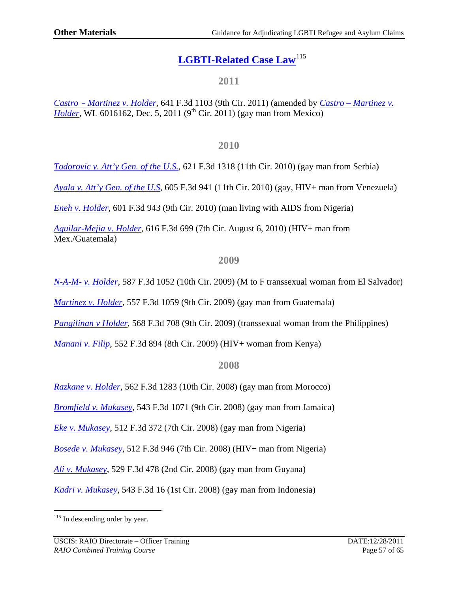## **[LGBTI-Related Case Law](#page-3-1)**[115](#page-56-1)

#### **2011**

<span id="page-56-0"></span>*Castro* – *[Martinez v. Holder](http://web2.westlaw.com/find/default.wl?cite=641+F.3d+1103&rs=WLW12.01&vr=2.0&rp=%2ffind%2fdefault.wl&sv=Split&fn=_top&mt=Westlaw)*, 641 F.3d 1103 (9th Cir. 2011) (amended by *[Castro – Martinez v.](http://web2.westlaw.com/find/default.wl?mt=Westlaw&caseserial=2026620725&rp=%2ffind%2fdefault.wl&docfam=Iff182ef41f5d11e19553c1f5e5d07b6a&findtype=0&ordoc=2026620725&serialnum=2026620725&vr=2.0&fn=_top&sv=Split&pbc=BC6E23F9&casecite=2011+WL+6016162&rs=WLW1)*   $\underline{Holder}$  $\underline{Holder}$  $\underline{Holder}$ , WL 6016162, Dec. 5, 2011 (9<sup>th</sup> Cir. 2011) (gay man from Mexico)

#### **2010**

*[Todorovic v. Att'y Gen. of the U.S.](http://web2.westlaw.com/find/default.wl?cite=621+F.3d+1318&rs=WLW12.01&vr=2.0&rp=%2ffind%2fdefault.wl&sv=Split&fn=_top&mt=Westlaw)*, 621 F.3d 1318 (11th Cir. 2010) (gay man from Serbia)

*[Ayala v. Att'y Gen. of the U.S](http://web2.westlaw.com/find/default.wl?cite=605+F.3d+941&rs=WLW12.01&vr=2.0&rp=%2ffind%2fdefault.wl&sv=Split&fn=_top&mt=Westlaw)*, 605 F.3d 941 (11th Cir. 2010) (gay, HIV+ man from Venezuela)

*[Eneh v. Holder](http://web2.westlaw.com/find/default.wl?cite=601+F.3d+943+&rs=WLW12.01&vr=2.0&rp=%2ffind%2fdefault.wl&sv=Split&fn=_top&mt=Westlaw)*, 601 F.3d 943 (9th Cir. 2010) (man living with AIDS from Nigeria)

*[Aguilar-Mejia v. Holder](http://web2.westlaw.com/find/default.wl?cite=616+F.3d+699&rs=WLW12.01&vr=2.0&rp=%2ffind%2fdefault.wl&sv=Split&fn=_top&mt=Westlaw)*, 616 F.3d 699 (7th Cir. August 6, 2010) (HIV+ man from Mex./Guatemala)

#### **2009**

*[N-A-M- v. Holder](http://web2.westlaw.com/find/default.wl?cite=587+F.3d+1052+&rs=WLW12.01&vr=2.0&rp=%2ffind%2fdefault.wl&sv=Split&fn=_top&mt=Westlaw)*, 587 F.3d 1052 (10th Cir. 2009) (M to F transsexual woman from El Salvador)

*[Martinez v. Holder](http://web2.westlaw.com/find/default.wl?cite=557+F.3d+1059+&rs=WLW12.01&vr=2.0&rp=%2ffind%2fdefault.wl&sv=Split&fn=_top&mt=Westlaw)*, 557 F.3d 1059 (9th Cir. 2009) (gay man from Guatemala)

*[Pangilinan v Holder](http://web2.westlaw.com/find/default.wl?cite=568+F.3d+708&rs=WLW12.01&vr=2.0&rp=%2ffind%2fdefault.wl&sv=Split&fn=_top&mt=Westlaw)*, 568 F.3d 708 (9th Cir. 2009) (transsexual woman from the Philippines)

*[Manani v. Filip](http://web2.westlaw.com/find/default.wl?cite=552+F.3d+894&rs=WLW12.01&vr=2.0&rp=%2ffind%2fdefault.wl&sv=Split&fn=_top&mt=Westlaw)*, 552 F.3d 894 (8th Cir. 2009) (HIV+ woman from Kenya)

#### **2008**

*[Razkane v. Holder](http://web2.westlaw.com/find/default.wl?cite=562+F.3d+1283+&rs=WLW12.01&vr=2.0&rp=%2ffind%2fdefault.wl&sv=Split&fn=_top&mt=Westlaw)*, 562 F.3d 1283 (10th Cir. 2008) (gay man from Morocco)

*[Bromfield v. Mukasey](http://web2.westlaw.com/find/default.wl?cite=543+F.3d+1071+&rs=WLW12.01&vr=2.0&rp=%2ffind%2fdefault.wl&sv=Split&fn=_top&mt=Westlaw)*, 543 F.3d 1071 (9th Cir. 2008) (gay man from Jamaica)

*[Eke v. Mukasey](http://web2.westlaw.com/find/default.wl?cite=512+F.3d+372+&rs=WLW12.01&vr=2.0&rp=%2ffind%2fdefault.wl&sv=Split&fn=_top&mt=Westlaw)*, 512 F.3d 372 (7th Cir. 2008) (gay man from Nigeria)

*[Bosede v. Mukasey](http://web2.westlaw.com/find/default.wl?cite=512+F.3d+946+&rs=WLW12.01&vr=2.0&rp=%2ffind%2fdefault.wl&sv=Split&fn=_top&mt=Westlaw)*, 512 F.3d 946 (7th Cir. 2008) (HIV+ man from Nigeria)

*[Ali v. Mukasey](http://web2.westlaw.com/find/default.wl?cite=529+F.3d+478+&rs=WLW12.01&vr=2.0&rp=%2ffind%2fdefault.wl&sv=Split&fn=_top&mt=Westlaw)*, 529 F.3d 478 (2nd Cir. 2008) (gay man from Guyana)

*[Kadri v. Mukasey](http://web2.westlaw.com/find/default.wl?cite=543+F.3d+16+&rs=WLW12.01&vr=2.0&rp=%2ffind%2fdefault.wl&sv=Split&fn=_top&mt=Westlaw)*, 543 F.3d 16 (1st Cir. 2008) (gay man from Indonesia)

<span id="page-56-1"></span><sup>1</sup> <sup>115</sup> In descending order by year.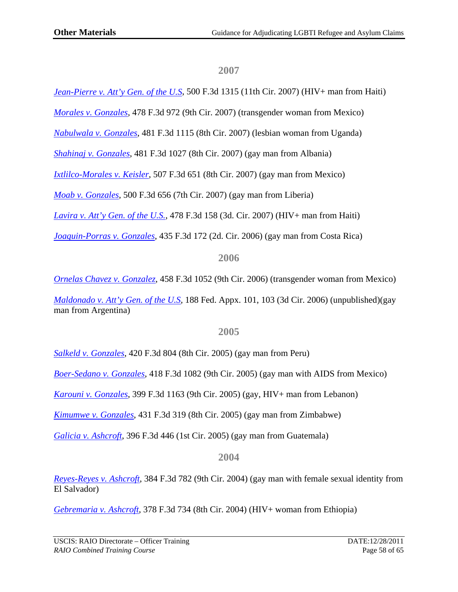#### **2007**

*[Jean-Pierre v. Att'y Gen. of the U.S](http://web2.westlaw.com/find/default.wl?cite=500+F.3d+1315+&rs=WLW12.01&vr=2.0&rp=%2ffind%2fdefault.wl&sv=Split&fn=_top&mt=Westlaw)*, 500 F.3d 1315 (11th Cir. 2007) (HIV+ man from Haiti)

*[Morales v. Gonzales](http://web2.westlaw.com/find/default.wl?cite=478+F.3d+972+&rs=WLW12.01&vr=2.0&rp=%2ffind%2fdefault.wl&sv=Split&fn=_top&mt=Westlaw)*, 478 F.3d 972 (9th Cir. 2007) (transgender woman from Mexico)

*[Nabulwala v. Gonzales](http://web2.westlaw.com/find/default.wl?cite=481+F.3d+1115+&rs=WLW12.01&vr=2.0&rp=%2ffind%2fdefault.wl&sv=Split&fn=_top&mt=Westlaw)*, 481 F.3d 1115 (8th Cir. 2007) (lesbian woman from Uganda)

*[Shahinaj v. Gonzales](http://web2.westlaw.com/find/default.wl?cite=481+F.3d+1027+&rs=WLW12.01&vr=2.0&rp=%2ffind%2fdefault.wl&sv=Split&fn=_top&mt=Westlaw)*, 481 F.3d 1027 (8th Cir. 2007) (gay man from Albania)

*[Ixtlilco-Morales v. Keisler](http://web2.westlaw.com/find/default.wl?cite=507+F.3d+651+&rs=WLW12.01&vr=2.0&rp=%2ffind%2fdefault.wl&sv=Split&fn=_top&mt=Westlaw)*, 507 F.3d 651 (8th Cir. 2007) (gay man from Mexico)

*[Moab v. Gonzales](http://web2.westlaw.com/find/default.wl?cite=500+F.3d+656+&rs=WLW12.01&vr=2.0&rp=%2ffind%2fdefault.wl&sv=Split&fn=_top&mt=Westlaw)*, 500 F.3d 656 (7th Cir. 2007) (gay man from Liberia)

*[Lavira v. Att'y Gen. of the U.S.](http://web2.westlaw.com/find/default.wl?cite=478+F.3d+158+&rs=WLW12.01&vr=2.0&rp=%2ffind%2fdefault.wl&sv=Split&fn=_top&mt=Westlaw)*, 478 F.3d 158 (3d. Cir. 2007) (HIV+ man from Haiti)

*[Joaquin-Porras v. Gonzales](http://web2.westlaw.com/find/default.wl?cite=435+F.3d+172+&rs=WLW12.01&vr=2.0&rp=%2ffind%2fdefault.wl&sv=Split&fn=_top&mt=Westlaw)*, 435 F.3d 172 (2d. Cir. 2006) (gay man from Costa Rica)

**2006** 

*[Ornelas Chavez v. Gonzalez](http://web2.westlaw.com/find/default.wl?cite=458+F.3d+1052+&rs=WLW12.01&vr=2.0&rp=%2ffind%2fdefault.wl&sv=Split&fn=_top&mt=Westlaw)*, 458 F.3d 1052 (9th Cir. 2006) (transgender woman from Mexico)

*Maldonado v. Att'y Gen. of the U.S.* 188 Fed. Appx. 101, 103 (3d Cir. 2006) (unpublished)(gay man from Argentina)

#### **2005**

*[Salkeld v. Gonzales](http://web2.westlaw.com/find/default.wl?cite=420+F.3d+804+&rs=WLW12.01&vr=2.0&rp=%2ffind%2fdefault.wl&sv=Split&fn=_top&mt=Westlaw)*, 420 F.3d 804 (8th Cir. 2005) (gay man from Peru)

*[Boer-Sedano v. Gonzales](http://web2.westlaw.com/find/default.wl?cite=418+F.3d+1082+&rs=WLW12.01&vr=2.0&rp=%2ffind%2fdefault.wl&sv=Split&fn=_top&mt=Westlaw)*, 418 F.3d 1082 (9th Cir. 2005) (gay man with AIDS from Mexico)

*[Karouni v. Gonzales](http://web2.westlaw.com/find/default.wl?cite=399+F.3d+1163+&rs=WLW12.01&vr=2.0&rp=%2ffind%2fdefault.wl&sv=Split&fn=_top&mt=Westlaw)*, 399 F.3d 1163 (9th Cir. 2005) (gay, HIV+ man from Lebanon)

*[Kimumwe v. Gonzales](http://web2.westlaw.com/find/default.wl?cite=431+F.3d+319+&rs=WLW12.01&vr=2.0&rp=%2ffind%2fdefault.wl&sv=Split&fn=_top&mt=Westlaw)*, 431 F.3d 319 (8th Cir. 2005) (gay man from Zimbabwe)

*[Galicia v. Ashcroft](http://web2.westlaw.com/find/default.wl?cite=396+F.3d+446+&rs=WLW12.01&vr=2.0&rp=%2ffind%2fdefault.wl&sv=Split&fn=_top&mt=Westlaw)*, 396 F.3d 446 (1st Cir. 2005) (gay man from Guatemala)

**2004** 

*[Reyes-Reyes v. Ashcroft](http://web2.westlaw.com/find/default.wl?cite=384+F.3d+782+&rs=WLW12.01&vr=2.0&rp=%2ffind%2fdefault.wl&sv=Split&fn=_top&mt=Westlaw)*, 384 F.3d 782 (9th Cir. 2004) (gay man with female sexual identity from El Salvador)

*[Gebremaria v. Ashcroft](http://web2.westlaw.com/find/default.wl?cite=378+F.3d+734+&rs=WLW12.01&vr=2.0&rp=%2ffind%2fdefault.wl&sv=Split&fn=_top&mt=Westlaw)*, 378 F.3d 734 (8th Cir. 2004) (HIV+ woman from Ethiopia)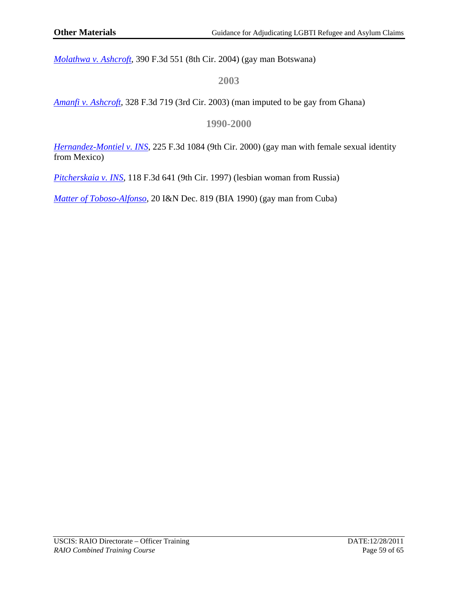*[Molathwa v. Ashcroft](http://web2.westlaw.com/find/default.wl?cite=390+F.3d+551+&rs=WLW12.01&vr=2.0&rp=%2ffind%2fdefault.wl&sv=Split&fn=_top&mt=Westlaw)*, 390 F.3d 551 (8th Cir. 2004) (gay man Botswana)

**2003** 

*[Amanfi v. Ashcroft](http://web2.westlaw.com/find/default.wl?cite=328+F.3d+719+&rs=WLW12.01&vr=2.0&rp=%2ffind%2fdefault.wl&sv=Split&fn=_top&mt=Westlaw)*, 328 F.3d 719 (3rd Cir. 2003) (man imputed to be gay from Ghana)

**1990-2000** 

*[Hernandez-Montiel v. INS](http://web2.westlaw.com/find/default.wl?cite=225+F.3d+1084+&rs=WLW12.01&vr=2.0&rp=%2ffind%2fdefault.wl&sv=Split&fn=_top&mt=Westlaw)*, 225 F.3d 1084 (9th Cir. 2000) (gay man with female sexual identity from Mexico)

*[Pitcherskaia v. INS](http://web2.westlaw.com/find/default.wl?cite=118+F.3d+641+&rs=WLW12.01&vr=2.0&rp=%2ffind%2fdefault.wl&sv=Split&fn=_top&mt=Westlaw)*, 118 F.3d 641 (9th Cir. 1997) (lesbian woman from Russia)

*[Matter of Toboso-Alfonso](http://web2.westlaw.com/find/default.wl?cite=20+I%26N+Dec.+819+&rs=WLW12.01&vr=2.0&rp=%2ffind%2fdefault.wl&sv=Split&fn=_top&mt=Westlaw)*, 20 I&N Dec. 819 (BIA 1990) (gay man from Cuba)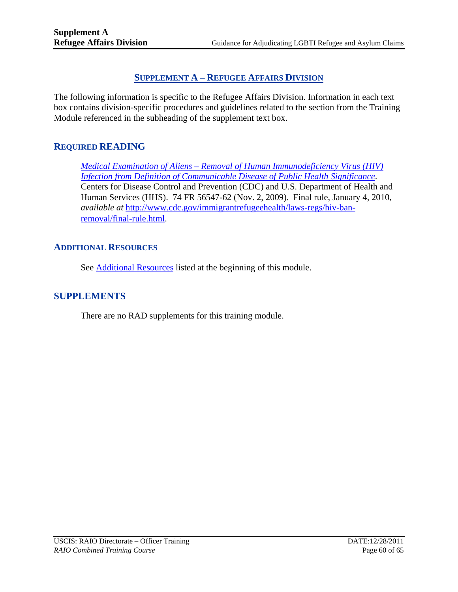#### **SUPPLEMENT A – REFUGEE AFFAIRS DIVISION**

<span id="page-59-0"></span>The following information is specific to the Refugee Affairs Division. Information in each text box contains division-specific procedures and guidelines related to the section from the Training Module referenced in the subheading of the supplement text box.

#### <span id="page-59-1"></span>**REQUIRED READING**

*[Medical Examination of Aliens – Removal of Human Immunodeficiency Virus \(HIV\)](http://ecn.uscis.dhs.gov/team/raio/PerMgt/Training/RAIOTraining/RDOT%20Curriculum%20Library/CDC%20-%20Removal%20of%20HIV%20Infection%20from%20Definition%20of%20Communicable%20Disease.pdf)  [Infection from Definition of Communicable Disease of Public Health Significance](http://ecn.uscis.dhs.gov/team/raio/PerMgt/Training/RAIOTraining/RDOT%20Curriculum%20Library/CDC%20-%20Removal%20of%20HIV%20Infection%20from%20Definition%20of%20Communicable%20Disease.pdf)*. Centers for Disease Control and Prevention (CDC) and U.S. Department of Health and Human Services (HHS). 74 FR 56547-62 (Nov. 2, 2009). Final rule, January 4, 2010, *available at* [http://www.cdc.gov/immigrantrefugeehealth/laws-regs/hiv-ban](http://www.cdc.gov/immigrantrefugeehealth/laws-regs/hiv-ban-removal/final-rule.html)[removal/final-rule.html](http://www.cdc.gov/immigrantrefugeehealth/laws-regs/hiv-ban-removal/final-rule.html).

#### <span id="page-59-2"></span>**ADDITIONAL RESOURCES**

See [Additional Resources](#page-3-1) listed at the beginning of this module.

#### <span id="page-59-3"></span>**SUPPLEMENTS**

There are no RAD supplements for this training module.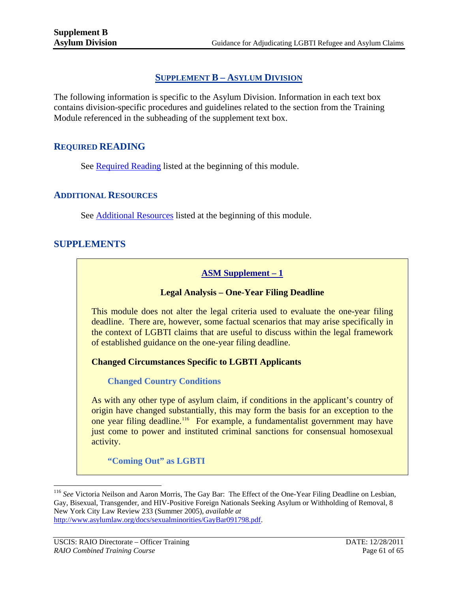#### **SUPPLEMENT B – ASYLUM DIVISION**

<span id="page-60-0"></span>The following information is specific to the Asylum Division. Information in each text box contains division-specific procedures and guidelines related to the section from the Training Module referenced in the subheading of the supplement text box.

#### <span id="page-60-1"></span>**REQUIRED READING**

See [Required Reading](#page-59-1) listed at the beginning of this module.

#### <span id="page-60-2"></span>**ADDITIONAL RESOURCES**

See [Additional Resources](#page-3-1) listed at the beginning of this module.

#### <span id="page-60-4"></span><span id="page-60-3"></span>**SUPPLEMENTS**

#### **ASM Supplement – 1**

#### **Legal Analysis – One-Year Filing Deadline**

This module does not alter the legal criteria used to evaluate the one-year filing deadline. There are, however, some factual scenarios that may arise specifically in the context of LGBTI claims that are useful to discuss within the legal framework of established guidance on the one-year filing deadline.

#### **Changed Circumstances Specific to LGBTI Applicants**

#### **Changed Country Conditions**

As with any other type of asylum claim, if conditions in the applicant's country of origin have changed substantially, this may form the basis for an exception to the one year filing deadline.[116](#page-60-5) For example, a fundamentalist government may have just come to power and instituted criminal sanctions for consensual homosexual activity.

**"Coming Out" as LGBTI** 

<span id="page-60-5"></span><sup>&</sup>lt;sup>116</sup> See Victoria Neilson and Aaron Morris, The Gay Bar: The Effect of the One-Year Filing Deadline on Lesbian, Gay, Bisexual, Transgender, and HIV-Positive Foreign Nationals Seeking Asylum or Withholding of Removal, 8 New York City Law Review 233 (Summer 2005), *available at*  [http://www.asylumlaw.org/docs/sexualminorities/GayBar091798.pdf.](http://www.asylumlaw.org/docs/sexualminorities/GayBar091798.pdf)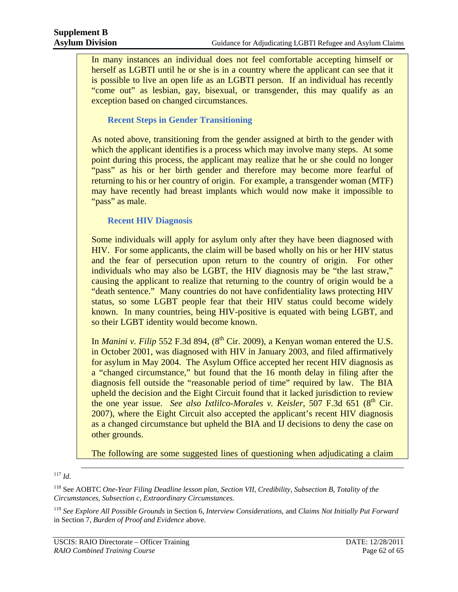In many instances an individual does not feel comfortable accepting himself or herself as LGBTI until he or she is in a country where the applicant can see that it is possible to live an open life as an LGBTI person. If an individual has recently "come out" as lesbian, gay, bisexual, or transgender, this may qualify as an exception based on changed circumstances.

#### **Recent Steps in Gender Transitioning**

As noted above, transitioning from the gender assigned at birth to the gender with which the applicant identifies is a process which may involve many steps. At some point during this process, the applicant may realize that he or she could no longer "pass" as his or her birth gender and therefore may become more fearful of returning to his or her country of origin. For example, a transgender woman (MTF) may have recently had breast implants which would now make it impossible to "pass" as male.

#### **Recent HIV Diagnosis**

<span id="page-61-0"></span>Some individuals will apply for asylum only after they have been diagnosed with HIV. For some applicants, the claim will be based wholly on his or her HIV status and the fear of persecution upon return to the country of origin. For other individuals who may also be LGBT, the HIV diagnosis may be "the last straw," causing the applicant to realize that returning to the country of origin would be a "death sentence." Many countries do not have confidentiality laws protecting HIV status, so some LGBT people fear that their HIV status could become widely known. In many countries, being HIV-positive is equated with being LGBT, and so their LGBT identity would become known.

In *Manini v. Filip* 552 F.3d 894, (8<sup>th</sup> Cir. 2009), a Kenyan woman entered the U.S. in October 2001, was diagnosed with HIV in January 2003, and filed affirmatively for asylum in May 2004. The Asylum Office accepted her recent HIV diagnosis as a "changed circumstance," but found that the 16 month delay in filing after the diagnosis fell outside the "reasonable period of time" required by law. The BIA upheld the decision and the Eight Circuit found that it lacked jurisdiction to review the one year issue. *See also Ixtlilco-Morales v. Keisler*, 507 F.3d 651 (8<sup>th</sup> Cir. 2007), where the Eight Circuit also accepted the applicant's recent HIV diagnosis as a changed circumstance but upheld the BIA and IJ decisions to deny the case on other grounds.

The following are some suggested lines of questioning when adjudicating a claim

#### 117 *Id*.

<sup>119</sup> *See Explore All Possible Grounds* in Section 6, *Interview Considerations*, and *Claims Not Initially Put Forward*  in Section 7*, Burden of Proof and Evidence* above.

<sup>118</sup> See AOBTC *One-Year Filing Deadline lesson plan, Section VII, Credibility, Subsection B, Totality of the Circumstances, Subsection c, Extraordinary Circumstances*.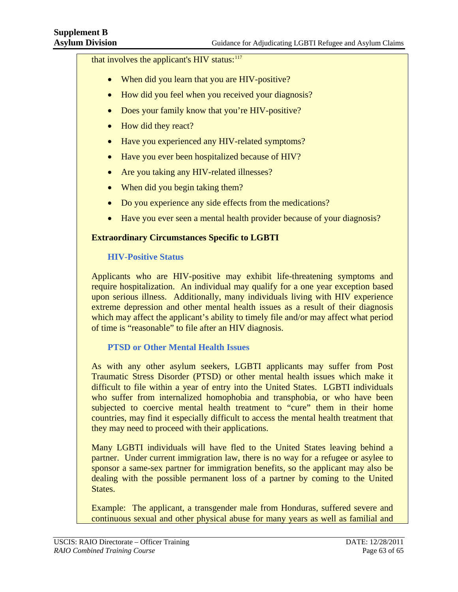that involves the applicant's  $HIV$  status: $117$ 

- When did you learn that you are HIV-positive?
- How did you feel when you received your diagnosis?
- Does your family know that you're HIV-positive?
- How did they react?
- Have you experienced any HIV-related symptoms?
- Have you ever been hospitalized because of HIV?
- Are you taking any HIV-related illnesses?
- When did you begin taking them?
- Do you experience any side effects from the medications?
- Have you ever seen a mental health provider because of your diagnosis?

#### **Extraordinary Circumstances Specific to LGBTI**

#### **HIV-Positive Status**

Applicants who are HIV-positive may exhibit life-threatening symptoms and require hospitalization. An individual may qualify for a one year exception based upon serious illness. Additionally, many individuals living with HIV experience extreme depression and other mental health issues as a result of their diagnosis which may affect the applicant's ability to timely file and/or may affect what period of time is "reasonable" to file after an HIV diagnosis.

#### **PTSD or Other Mental Health Issues**

As with any other asylum seekers, LGBTI applicants may suffer from Post Traumatic Stress Disorder (PTSD) or other mental health issues which make it difficult to file within a year of entry into the United States. LGBTI individuals who suffer from internalized homophobia and transphobia, or who have been subjected to coercive mental health treatment to "cure" them in their home countries, may find it especially difficult to access the mental health treatment that they may need to proceed with their applications.

<span id="page-62-0"></span>Many LGBTI individuals will have fled to the United States leaving behind a partner. Under current immigration law, there is no way for a refugee or asylee to sponsor a same-sex partner for immigration benefits, so the applicant may also be dealing with the possible permanent loss of a partner by coming to the United States.

Example: The applicant, a transgender male from Honduras, suffered severe and continuous sexual and other physical abuse for many years as well as familial and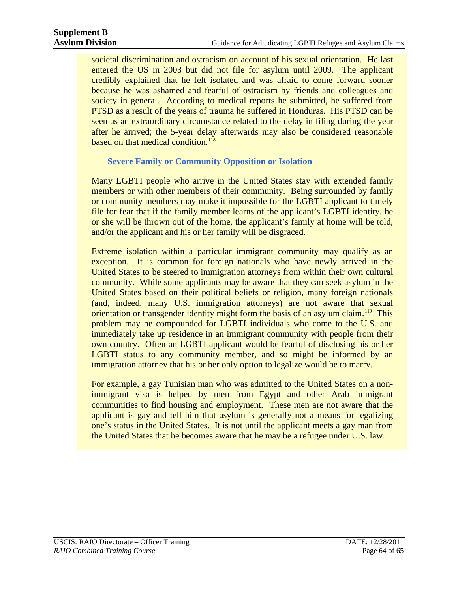societal discrimination and ostracism on account of his sexual orientation. He last entered the US in 2003 but did not file for asylum until 2009. The applicant credibly explained that he felt isolated and was afraid to come forward sooner because he was ashamed and fearful of ostracism by friends and colleagues and society in general. According to medical reports he submitted, he suffered from PTSD as a result of the years of trauma he suffered in Honduras. His PTSD can be seen as an extraordinary circumstance related to the delay in filing during the year after he arrived; the 5-year delay afterwards may also be considered reasonable based on that medical condition.<sup>[118](#page-63-0)</sup>

#### **Severe Family or Community Opposition or Isolation**

Many LGBTI people who arrive in the United States stay with extended family members or with other members of their community. Being surrounded by family or community members may make it impossible for the LGBTI applicant to timely file for fear that if the family member learns of the applicant's LGBTI identity, he or she will be thrown out of the home, the applicant's family at home will be told, and/or the applicant and his or her family will be disgraced.

Extreme isolation within a particular immigrant community may qualify as an exception. It is common for foreign nationals who have newly arrived in the United States to be steered to immigration attorneys from within their own cultural community. While some applicants may be aware that they can seek asylum in the United States based on their political beliefs or religion, many foreign nationals (and, indeed, many U.S. immigration attorneys) are not aware that sexual orientation or transgender identity might form the basis of an asylum claim.<sup>[119](#page-63-1)</sup> This problem may be compounded for LGBTI individuals who come to the U.S. and immediately take up residence in an immigrant community with people from their own country. Often an LGBTI applicant would be fearful of disclosing his or her LGBTI status to any community member, and so might be informed by an immigration attorney that his or her only option to legalize would be to marry.

<span id="page-63-1"></span><span id="page-63-0"></span>For example, a gay Tunisian man who was admitted to the United States on a nonimmigrant visa is helped by men from Egypt and other Arab immigrant communities to find housing and employment. These men are not aware that the applicant is gay and tell him that asylum is generally not a means for legalizing one's status in the United States. It is not until the applicant meets a gay man from the United States that he becomes aware that he may be a refugee under U.S. law.